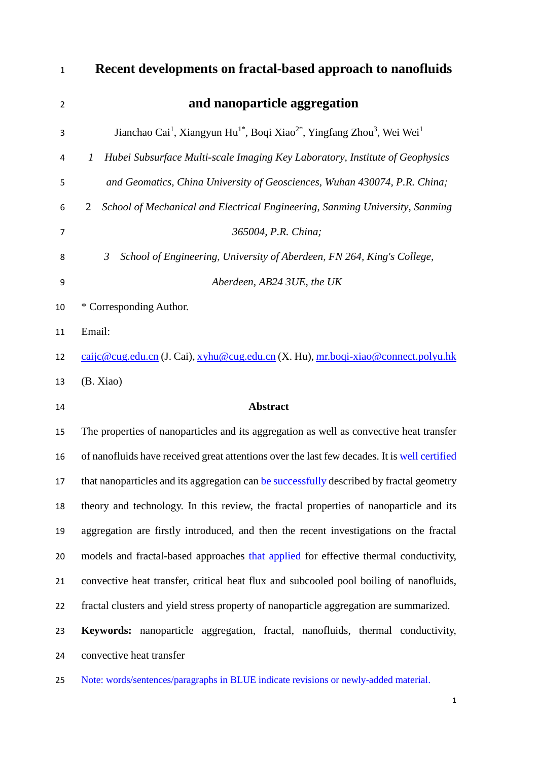| $\mathbf{1}$   | Recent developments on fractal-based approach to nanofluids                                                                         |
|----------------|-------------------------------------------------------------------------------------------------------------------------------------|
| 2              | and nanoparticle aggregation                                                                                                        |
| 3              | Jianchao Cai <sup>1</sup> , Xiangyun Hu <sup>1*</sup> , Boqi Xiao <sup>2*</sup> , Yingfang Zhou <sup>3</sup> , Wei Wei <sup>1</sup> |
| 4              | Hubei Subsurface Multi-scale Imaging Key Laboratory, Institute of Geophysics<br>1                                                   |
| 5              | and Geomatics, China University of Geosciences, Wuhan 430074, P.R. China;                                                           |
| 6              | School of Mechanical and Electrical Engineering, Sanming University, Sanming<br>2                                                   |
| $\overline{7}$ | 365004, P.R. China;                                                                                                                 |
| 8              | School of Engineering, University of Aberdeen, FN 264, King's College,<br>$\mathfrak{Z}$                                            |
| 9              | Aberdeen, AB24 3UE, the UK                                                                                                          |
| 10             | * Corresponding Author.                                                                                                             |
| 11             | Email:                                                                                                                              |
| 12             | caijc@cug.edu.cn (J. Cai), xyhu@cug.edu.cn (X. Hu), mr.boqi-xiao@connect.polyu.hk                                                   |
| 13             | (B. Xiao)                                                                                                                           |
| 14             | <b>Abstract</b>                                                                                                                     |
| 15             | The properties of nanoparticles and its aggregation as well as convective heat transfer                                             |
| 16             | of nanofluids have received great attentions over the last few decades. It is well certified                                        |
| 17             | that nanoparticles and its aggregation can be successfully described by fractal geometry                                            |
| 18             | theory and technology. In this review, the fractal properties of nanoparticle and its                                               |
| 19             | aggregation are firstly introduced, and then the recent investigations on the fractal                                               |
| 20             | models and fractal-based approaches that applied for effective thermal conductivity,                                                |
| 21             | convective heat transfer, critical heat flux and subcooled pool boiling of nanofluids,                                              |
| 22             | fractal clusters and yield stress property of nanoparticle aggregation are summarized.                                              |
| 23             | <b>Keywords:</b> nanoparticle aggregation, fractal, nanofluids, thermal conductivity,                                               |
| 24             | convective heat transfer                                                                                                            |
|                |                                                                                                                                     |

Note: words/sentences/paragraphs in BLUE indicate revisions or newly-added material.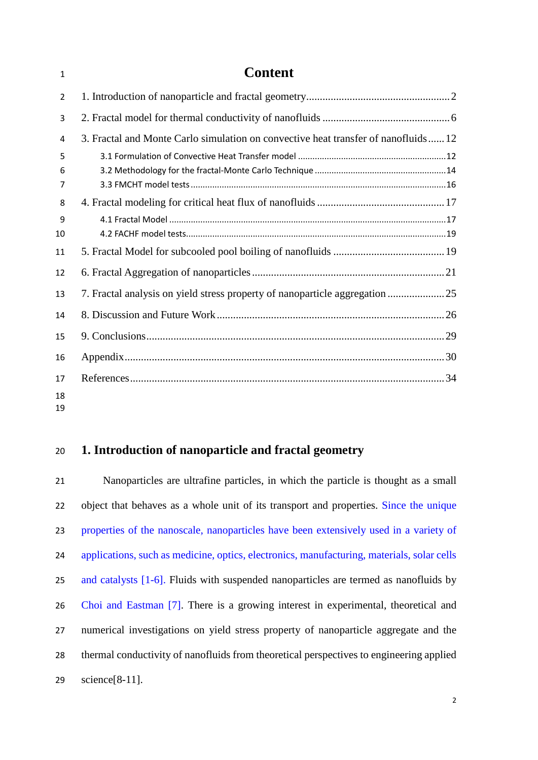# **Content**

| $\overline{2}$ |                                                                                    |  |
|----------------|------------------------------------------------------------------------------------|--|
| 3              |                                                                                    |  |
| 4              | 3. Fractal and Monte Carlo simulation on convective heat transfer of nanofluids 12 |  |
| 5              |                                                                                    |  |
| 6              |                                                                                    |  |
| 7              |                                                                                    |  |
| 8              |                                                                                    |  |
| 9              |                                                                                    |  |
| 10             |                                                                                    |  |
| 11             |                                                                                    |  |
| 12             |                                                                                    |  |
| 13             |                                                                                    |  |
| 14             |                                                                                    |  |
| 15             |                                                                                    |  |
| 16             |                                                                                    |  |
| 17             |                                                                                    |  |
| 18             |                                                                                    |  |
| 19             |                                                                                    |  |

## <span id="page-1-0"></span>**1. Introduction of nanoparticle and fractal geometry**

 Nanoparticles are ultrafine particles, in which the particle is thought as a small object that behaves as a whole unit of its transport and properties. Since the unique properties of the nanoscale, nanoparticles have been extensively used in a variety of applications, such as medicine, optics, electronics, manufacturing, materials, solar cells and catalysts [1-6]. Fluids with suspended nanoparticles are termed as nanofluids by Choi and Eastman [7]. There is a growing interest in experimental, theoretical and numerical investigations on yield stress property of nanoparticle aggregate and the thermal conductivity of nanofluids from theoretical perspectives to engineering applied science[8-11].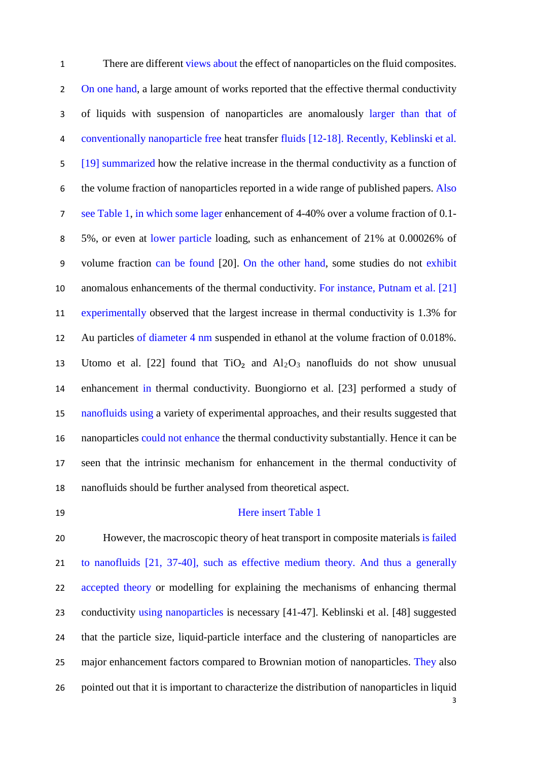There are different views about the effect of nanoparticles on the fluid composites. 2 On one hand, a large amount of works reported that the effective thermal conductivity of liquids with suspension of nanoparticles are anomalously larger than that of conventionally nanoparticle free heat transfer fluids [12-18]. Recently, Keblinski et al. [19] summarized how the relative increase in the thermal conductivity as a function of the volume fraction of nanoparticles reported in a wide range of published papers. Also see Table 1, in which some lager enhancement of 4-40% over a volume fraction of 0.1- 5%, or even at lower particle loading, such as enhancement of 21% at 0.00026% of volume fraction can be found [20]. On the other hand, some studies do not exhibit anomalous enhancements of the thermal conductivity. For instance, Putnam et al. [21] experimentally observed that the largest increase in thermal conductivity is 1.3% for Au particles of diameter 4 nm suspended in ethanol at the volume fraction of 0.018%. 13 Utomo et al. [22] found that  $TiO<sub>2</sub>$  and  $Al<sub>2</sub>O<sub>3</sub>$  nanofluids do not show unusual enhancement in thermal conductivity. Buongiorno et al. [23] performed a study of nanofluids using a variety of experimental approaches, and their results suggested that nanoparticles could not enhance the thermal conductivity substantially. Hence it can be seen that the intrinsic mechanism for enhancement in the thermal conductivity of nanofluids should be further analysed from theoretical aspect.

#### Here insert Table 1

 However, the macroscopic theory of heat transport in composite materials is failed to nanofluids [21, 37-40], such as effective medium theory. And thus a generally 22 accepted theory or modelling for explaining the mechanisms of enhancing thermal conductivity using nanoparticles is necessary [41-47]. Keblinski et al. [48] suggested that the particle size, liquid-particle interface and the clustering of nanoparticles are 25 major enhancement factors compared to Brownian motion of nanoparticles. They also pointed out that it is important to characterize the distribution of nanoparticles in liquid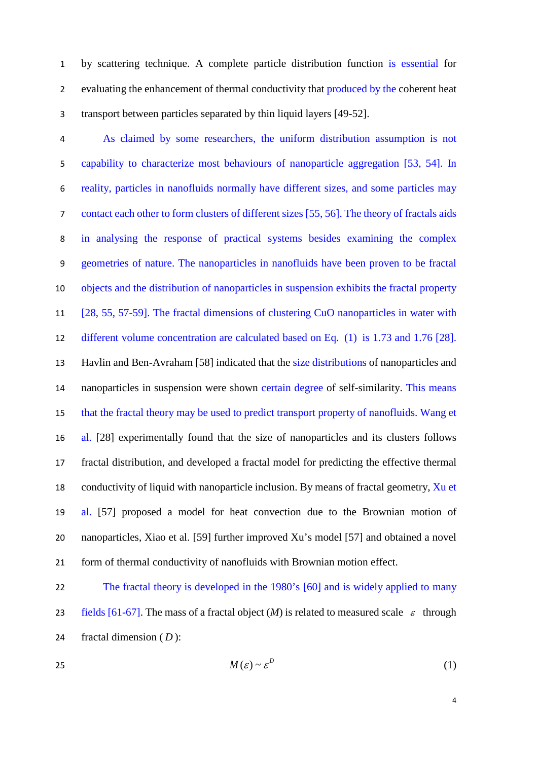by scattering technique. A complete particle distribution function is essential for 2 evaluating the enhancement of thermal conductivity that produced by the coherent heat transport between particles separated by thin liquid layers [49-52].

 As claimed by some researchers, the uniform distribution assumption is not capability to characterize most behaviours of nanoparticle aggregation [53, 54]. In reality, particles in nanofluids normally have different sizes, and some particles may contact each other to form clusters of different sizes [55, 56]. The theory of fractals aids in analysing the response of practical systems besides examining the complex geometries of nature. The nanoparticles in nanofluids have been proven to be fractal objects and the distribution of nanoparticles in suspension exhibits the fractal property [28, 55, 57-59]. The fractal dimensions of clustering CuO nanoparticles in water with different volume concentration are calculated based on Eq. (1) is 1.73 and 1.76 [28]. Havlin and Ben-Avraham [58] indicated that the size distributions of nanoparticles and 14 nanoparticles in suspension were shown certain degree of self-similarity. This means that the fractal theory may be used to predict transport property of nanofluids. Wang et al. [28] experimentally found that the size of nanoparticles and its clusters follows fractal distribution, and developed a fractal model for predicting the effective thermal 18 conductivity of liquid with nanoparticle inclusion. By means of fractal geometry, Xu et al. [57] proposed a model for heat convection due to the Brownian motion of nanoparticles, Xiao et al. [59] further improved Xu's model [57] and obtained a novel form of thermal conductivity of nanofluids with Brownian motion effect.

 The fractal theory is developed in the 1980's [60] and is widely applied to many 23 fields [61-67]. The mass of a fractal object  $(M)$  is related to measured scale  $\varepsilon$  through fractal dimension ( *D* ):

$$
M(\varepsilon) \sim \varepsilon^D \tag{1}
$$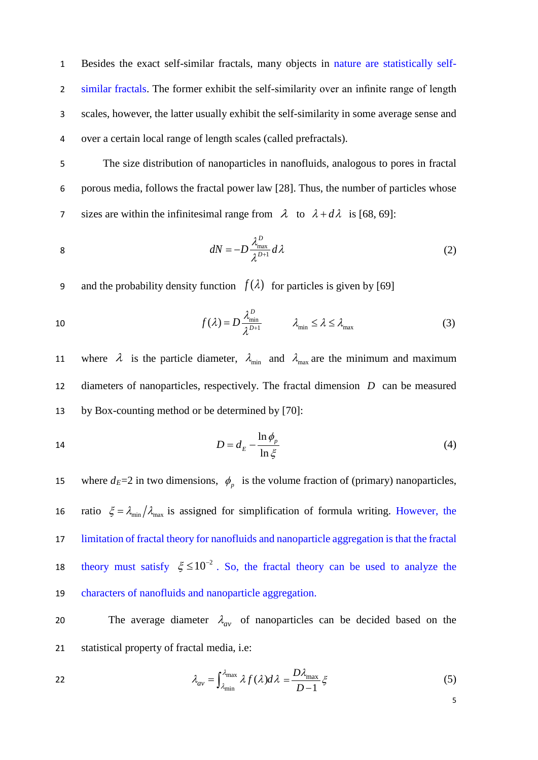Besides the exact self-similar fractals, many objects in nature are statistically self- similar fractals. The former exhibit the self-similarity over an infinite range of length scales, however, the latter usually exhibit the self-similarity in some average sense and over a certain local range of length scales (called prefractals).

5 The size distribution of nanoparticles in nanofluids, analogous to pores in fractal 6 porous media, follows the fractal power law [28]. Thus, the number of particles whose 7 sizes are within the infinitesimal range from  $\lambda$  to  $\lambda + d\lambda$  is [68, 69]:

$$
dN = -D \frac{\lambda_{\text{max}}^D}{\lambda^{D+1}} d\lambda \tag{2}
$$

9 and the probability density function  $f(\lambda)$  for particles is given by [69]

10 
$$
f(\lambda) = D \frac{\lambda_{\min}^D}{\lambda^{D+1}} \qquad \lambda_{\min} \leq \lambda \leq \lambda_{\max}
$$
 (3)

11 where  $\lambda$  is the particle diameter,  $\lambda_{min}$  and  $\lambda_{max}$  are the minimum and maximum 12 diameters of nanoparticles, respectively. The fractal dimension *D* can be measured 13 by Box-counting method or be determined by [70]:

$$
D = d_E - \frac{\ln \phi_p}{\ln \xi} \tag{4}
$$

15 where  $d_E = 2$  in two dimensions,  $\phi_p$  is the volume fraction of (primary) nanoparticles, 16 ratio  $\xi = \lambda_{min}/\lambda_{max}$  is assigned for simplification of formula writing. However, the 17 limitation of fractal theory for nanofluids and nanoparticle aggregation is that the fractal theory must satisfy  $\xi \le 10^{-2}$ . So, the fractal theory can be used to analyze the 19 characters of nanofluids and nanoparticle aggregation.

The average diameter  $\lambda_{av}$  of nanoparticles can be decided based on the 21 statistical property of fractal media, i.e:

22 
$$
\lambda_{av} = \int_{\lambda_{min}}^{\lambda_{max}} \lambda f(\lambda) d\lambda = \frac{D\lambda_{max}}{D-1} \xi
$$
 (5)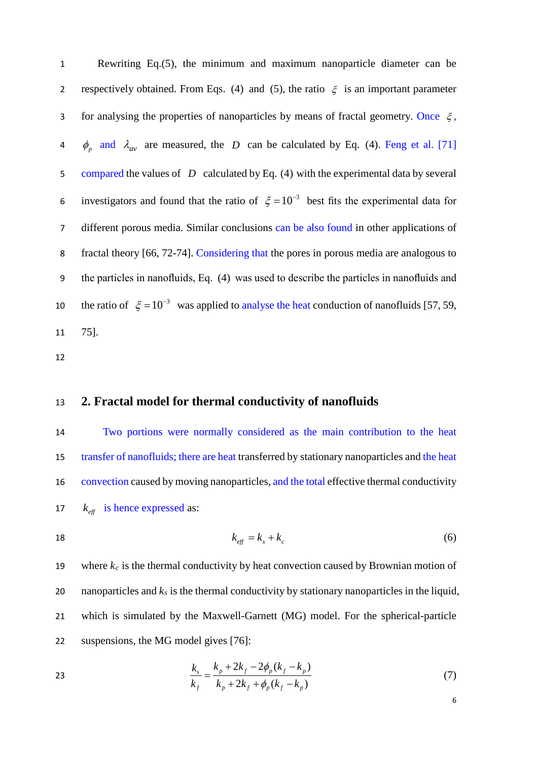1 Rewriting Eq.(5), the minimum and maximum nanoparticle diameter can be 2 respectively obtained. From Eqs. (4) and (5), the ratio  $\xi$  is an important parameter 3 for analysing the properties of nanoparticles by means of fractal geometry. Once  $\xi$ , 4  $\phi_p$  and  $\lambda_{av}$  are measured, the *D* can be calculated by Eq. (4). Feng et al. [71] 5 compared the values of *D* calculated by Eq. (4) with the experimental data by several 6 investigators and found that the ratio of  $\xi = 10^{-3}$  best fits the experimental data for 7 different porous media. Similar conclusions can be also found in other applications of 8 fractal theory [66, 72-74]. Considering that the pores in porous media are analogous to 9 the particles in nanofluids, Eq. (4) was used to describe the particles in nanofluids and the ratio of  $\xi = 10^{-3}$  was applied to analyse the heat conduction of nanofluids [57, 59, 11 75].

12

## <span id="page-5-0"></span>13 **2. Fractal model for thermal conductivity of nanofluids**

 Two portions were normally considered as the main contribution to the heat transfer of nanofluids; there are heat transferred by stationary nanoparticles and the heat convection caused by moving nanoparticles, and the total effective thermal conductivity  $k_{\text{eff}}$  is hence expressed as:

18  $k_{\text{eff}} = k_{\text{c}} + k_{\text{c}}$  (6)

19 where  $k_c$  is the thermal conductivity by heat convection caused by Brownian motion of 20 nanoparticles and  $k_s$  is the thermal conductivity by stationary nanoparticles in the liquid, 21 which is simulated by the Maxwell-Garnett (MG) model. For the spherical-particle 22 suspensions, the MG model gives [76]:

23 
$$
\frac{k_s}{k_f} = \frac{k_p + 2k_f - 2\phi_p(k_f - k_p)}{k_p + 2k_f + \phi_p(k_f - k_p)}
$$
(7)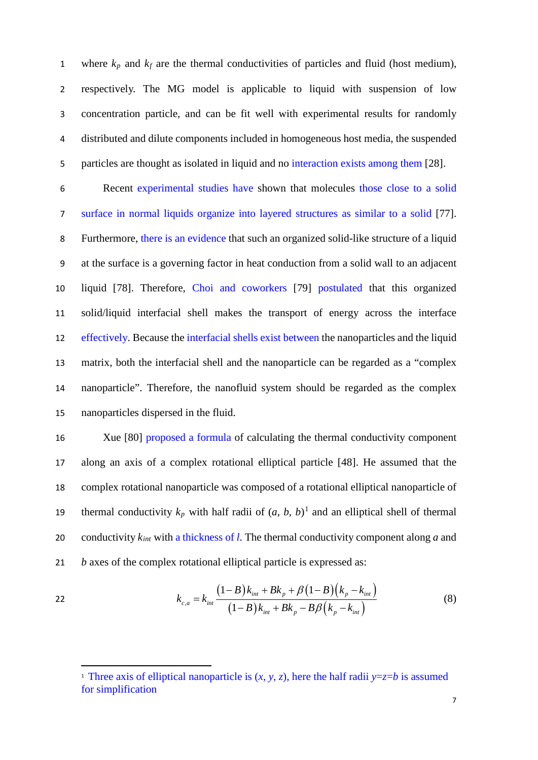1 where  $k_p$  and  $k_f$  are the thermal conductivities of particles and fluid (host medium), respectively. The MG model is applicable to liquid with suspension of low concentration particle, and can be fit well with experimental results for randomly distributed and dilute components included in homogeneous host media, the suspended particles are thought as isolated in liquid and no interaction exists among them [28].

 Recent experimental studies have shown that molecules those close to a solid surface in normal liquids organize into layered structures as similar to a solid [77]. Furthermore, there is an evidence that such an organized solid-like structure of a liquid at the surface is a governing factor in heat conduction from a solid wall to an adjacent liquid [78]. Therefore, Choi and coworkers [79] postulated that this organized solid/liquid interfacial shell makes the transport of energy across the interface effectively. Because the interfacial shells exist between the nanoparticles and the liquid matrix, both the interfacial shell and the nanoparticle can be regarded as a "complex nanoparticle". Therefore, the nanofluid system should be regarded as the complex nanoparticles dispersed in the fluid.

 Xue [80] proposed a formula of calculating the thermal conductivity component along an axis of a complex rotational elliptical particle [48]. He assumed that the complex rotational nanoparticle was composed of a rotational elliptical nanoparticle of thermal conductivity  $k_p$  with half radii of  $(a, b, b)$ <sup>[1](#page-6-0)</sup> and an elliptical shell of thermal conductivity *kint* with a thickness of *l*. The thermal conductivity component along *a* and *b* axes of the complex rotational elliptical particle is expressed as:

22 
$$
k_{c,a} = k_{int} \frac{(1-B)k_{int} + Bk_p + \beta(1-B)(k_p - k_{int})}{(1-B)k_{int} + Bk_p - B\beta(k_p - k_{int})}
$$
(8)

-

<span id="page-6-0"></span><sup>&</sup>lt;sup>1</sup> Three axis of elliptical nanoparticle is  $(x, y, z)$ , here the half radii  $y = z = b$  is assumed for simplification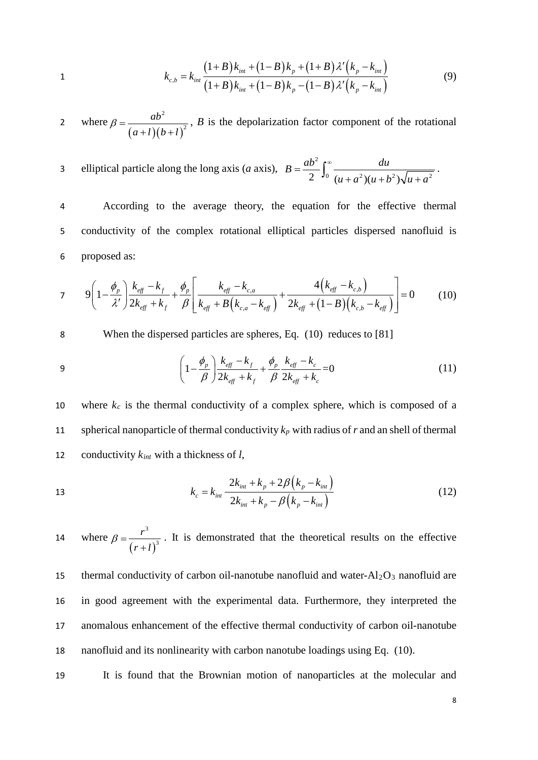1 
$$
k_{c,b} = k_{int} \frac{(1+B)k_{int} + (1-B)k_p + (1+B)\lambda'(k_p - k_{int})}{(1+B)k_{int} + (1-B)k_p - (1-B)\lambda'(k_p - k_{int})}
$$
(9)

where  $(a+l)(b+l)$ 2 2 *ab* where  $\beta = \frac{d\theta}{(a+l)(b+l)^2}$ , *B* is the depolarization factor component of the rotational

elliptical particle along the long axis (*a* axis),  $B = \frac{ab^2}{2}$ 2  $\int_0^1 (u + a^2)(u + b^2) \sqrt{u + a^2}$  $B = \frac{ab^2}{2} \int_{0}^{\infty} \frac{du}{u^2}$  $(u+a^2)(u+b^2)\sqrt{u+a}$ a elliptical particle along the long axis (*a* axis),  $B = \frac{ab^2}{2} \int_0^{\infty} \frac{du}{(u+a^2)(u+b^2)\sqrt{u+a^2}}$ .

4 According to the average theory, the equation for the effective thermal 5 conductivity of the complex rotational elliptical particles dispersed nanofluid is 6 proposed as:

$$
7 \qquad 9\left(1-\frac{\phi_p}{\lambda'}\right)\frac{k_{\text{eff}}-k_f}{2k_{\text{eff}}+k_f} + \frac{\phi_p}{\beta}\left[\frac{k_{\text{eff}}-k_{\text{c,a}}}{k_{\text{eff}}+B\left(k_{\text{c,a}}-k_{\text{eff}}\right)} + \frac{4\left(k_{\text{eff}}-k_{\text{c,b}}\right)}{2k_{\text{eff}}+(1-B)\left(k_{\text{c,b}}-k_{\text{eff}}\right)}\right] = 0 \tag{10}
$$

8 When the dispersed particles are spheres, Eq. (10) reduces to [81]

9 
$$
\left(1 - \frac{\phi_p}{\beta}\right) \frac{k_{\text{eff}} - k_f}{2k_{\text{eff}} + k_f} + \frac{\phi_p}{\beta} \frac{k_{\text{eff}} - k_c}{2k_{\text{eff}} + k_c} = 0
$$
 (11)

10 where  $k_c$  is the thermal conductivity of a complex sphere, which is composed of a 11 spherical nanoparticle of thermal conductivity  $k_p$  with radius of  $r$  and an shell of thermal 12 conductivity *kint* with a thickness of *l*,

13 
$$
k_c = k_{int} \frac{2k_{int} + k_p + 2\beta (k_p - k_{int})}{2k_{int} + k_p - \beta (k_p - k_{int})}
$$
 (12)

where  $(r+l)$ 3 3 *r* 14 where  $\beta = \frac{r}{(r+l)^3}$ . It is demonstrated that the theoretical results on the effective

15 thermal conductivity of carbon oil-nanotube nanofluid and water- $Al_2O_3$  nanofluid are in good agreement with the experimental data. Furthermore, they interpreted the anomalous enhancement of the effective thermal conductivity of carbon oil-nanotube nanofluid and its nonlinearity with carbon nanotube loadings using Eq. (10).

19 It is found that the Brownian motion of nanoparticles at the molecular and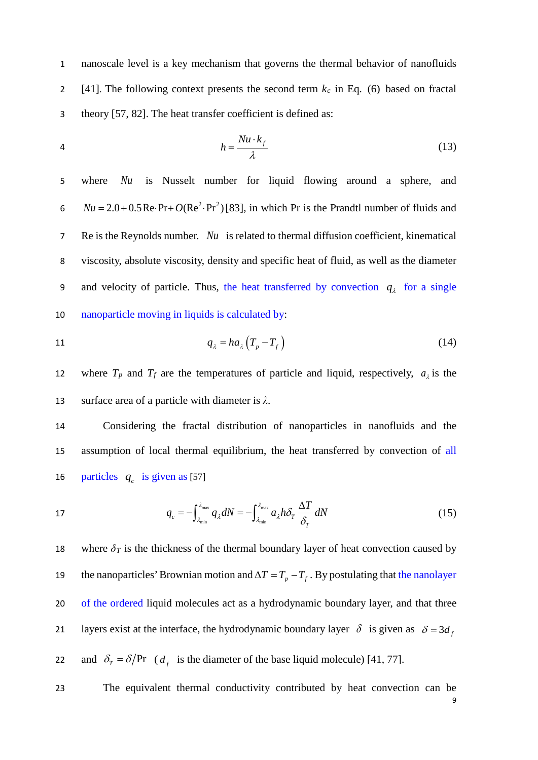1 nanoscale level is a key mechanism that governs the thermal behavior of nanofluids 2 [41]. The following context presents the second term  $k_c$  in Eq. (6) based on fractal 3 theory [57, 82]. The heat transfer coefficient is defined as:

$$
h = \frac{Nu \cdot k_f}{\lambda} \tag{13}
$$

 where *Nu* is Nusselt number for liquid flowing around a sphere, and *Nu* = 2.0 + 0.5 Re Pr +  $O(Re^2 \cdot Pr^2)$  [83], in which Pr is the Prandtl number of fluids and Re is the Reynolds number. *Nu* is related to thermal diffusion coefficient, kinematical viscosity, absolute viscosity, density and specific heat of fluid, as well as the diameter 9 and velocity of particle. Thus, the heat transferred by convection  $q_\lambda$  for a single nanoparticle moving in liquids is calculated by:

$$
q_{\lambda} = ha_{\lambda} \left( T_p - T_f \right) \tag{14}
$$

12 where  $T_p$  and  $T_f$  are the temperatures of particle and liquid, respectively,  $a_{\lambda}$  is the 13 surface area of a particle with diameter is *λ*.

14 Considering the fractal distribution of nanoparticles in nanofluids and the 15 assumption of local thermal equilibrium, the heat transferred by convection of all 16 particles  $q_c$  is given as [57]

17 
$$
q_c = -\int_{\lambda_{\min}}^{\lambda_{\max}} q_{\lambda} dN = -\int_{\lambda_{\min}}^{\lambda_{\max}} a_{\lambda} h \delta_T \frac{\Delta T}{\delta_T} dN
$$
 (15)

18 where  $\delta_T$  is the thickness of the thermal boundary layer of heat convection caused by the nanoparticles' Brownian motion and  $\Delta T = T_p - T_f$ . By postulating that the nanolayer 20 of the ordered liquid molecules act as a hydrodynamic boundary layer, and that three layers exist at the interface, the hydrodynamic boundary layer  $\delta$  is given as  $\delta = 3d_f$ and  $\delta_T = \delta / Pr$  ( $d_f$  is the diameter of the base liquid molecule) [41, 77].

9 23 The equivalent thermal conductivity contributed by heat convection can be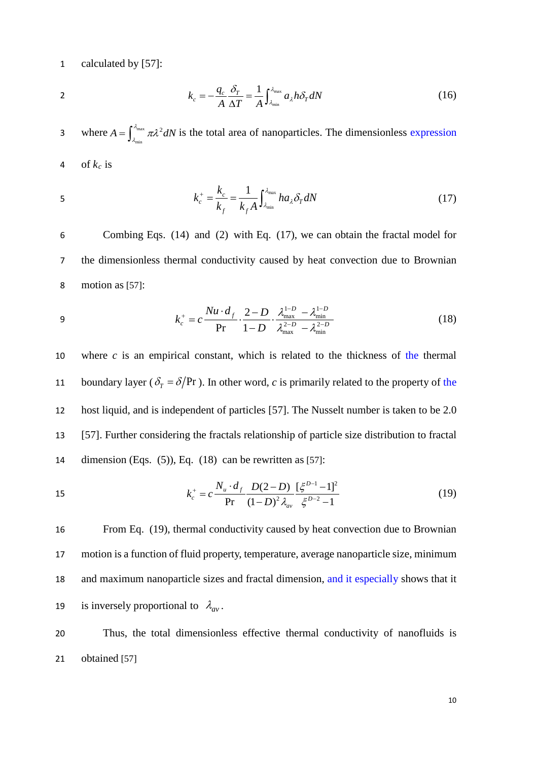1 calculated by [57]:

$$
\overline{\mathbf{2}}
$$

$$
k_c = -\frac{q_c}{A} \frac{\delta_T}{\Delta T} = \frac{1}{A} \int_{\lambda_{\min}}^{\lambda_{\max}} a_{\lambda} h \delta_T dN \tag{16}
$$

3 where  $A = \int_{\lambda_{\min}}^{\lambda_{\max}} \pi \lambda^2 dN$  is the total area of nanoparticles. The dimensionless expression 4 of  $k_c$  is

$$
k_c^+ = \frac{k_c}{k_f} = \frac{1}{k_f A} \int_{\lambda_{\min}}^{\lambda_{\max}} h a_{\lambda} \delta_T dN \tag{17}
$$

6 Combing Eqs. (14) and (2) with Eq. (17), we can obtain the fractal model for 7 the dimensionless thermal conductivity caused by heat convection due to Brownian 8 motion as [57]:

9 
$$
k_c^+ = c \frac{Nu \cdot d_f}{Pr} \cdot \frac{2-D}{1-D} \cdot \frac{\lambda_{\text{max}}^{1-D} - \lambda_{\text{min}}^{1-D}}{\lambda_{\text{max}}^{2-D} - \lambda_{\text{min}}^{2-D}}
$$
(18)

10 where *c* is an empirical constant, which is related to the thickness of the thermal 11 boundary layer ( $\delta_T = \delta / Pr$ ). In other word, *c* is primarily related to the property of the 12 host liquid, and is independent of particles [57]. The Nusselt number is taken to be 2.0 13 [57]. Further considering the fractals relationship of particle size distribution to fractal 14 dimension (Eqs. (5)), Eq. (18) can be rewritten as [57]:

15 
$$
k_c^+ = c \frac{N_u \cdot d_f}{\text{Pr}} \frac{D(2-D)}{(1-D)^2 \lambda_{av}} \frac{[\xi^{D-1}-1]^2}{\xi^{D-2}-1}
$$
 (19)

 From Eq. (19), thermal conductivity caused by heat convection due to Brownian motion is a function of fluid property, temperature, average nanoparticle size, minimum and maximum nanoparticle sizes and fractal dimension, and it especially shows that it is inversely proportional to  $\lambda_{av}$ .

20 Thus, the total dimensionless effective thermal conductivity of nanofluids is 21 obtained [57]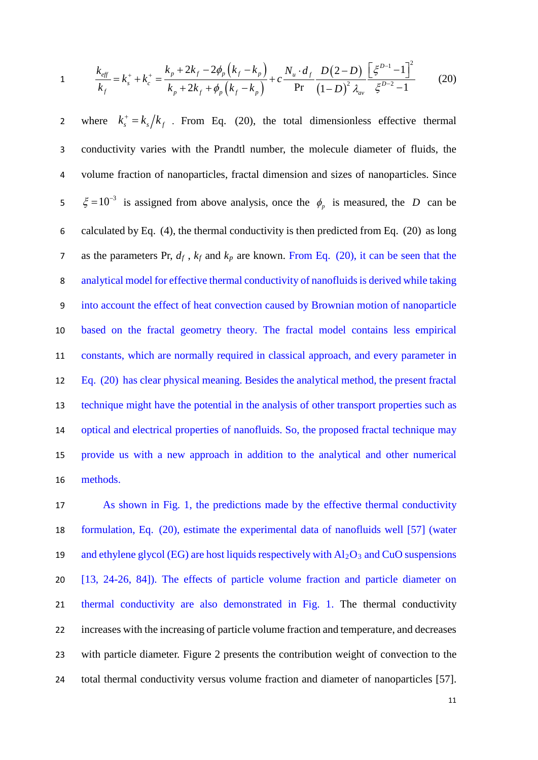1 
$$
\frac{k_{eff}}{k_f} = k_s^+ + k_c^+ = \frac{k_p + 2k_f - 2\phi_p(k_f - k_p)}{k_p + 2k_f + \phi_p(k_f - k_p)} + c \frac{N_u \cdot d_f}{\text{Pr}} \frac{D(2 - D)}{(1 - D)^2 \lambda_{av}} \frac{\left[\xi^{D-1} - 1\right]^2}{\xi^{D-2} - 1}
$$
(20)

2 where  $k_s^+ = k_s/k_f$ . From Eq. (20), the total dimensionless effective thermal conductivity varies with the Prandtl number, the molecule diameter of fluids, the volume fraction of nanoparticles, fractal dimension and sizes of nanoparticles. Since  $\zeta = 10^{-3}$  is assigned from above analysis, once the  $\phi_p$  is measured, the *D* can be calculated by Eq. (4), the thermal conductivity is then predicted from Eq. (20) as long as the parameters Pr, *df* , *kf* and *kp* are known. From Eq. (20), it can be seen that the 8 analytical model for effective thermal conductivity of nanofluids is derived while taking into account the effect of heat convection caused by Brownian motion of nanoparticle based on the fractal geometry theory. The fractal model contains less empirical constants, which are normally required in classical approach, and every parameter in Eq. (20) has clear physical meaning. Besides the analytical method, the present fractal technique might have the potential in the analysis of other transport properties such as optical and electrical properties of nanofluids. So, the proposed fractal technique may provide us with a new approach in addition to the analytical and other numerical 16 methods.

 As shown in Fig. 1, the predictions made by the effective thermal conductivity formulation, Eq. (20), estimate the experimental data of nanofluids well [57] (water 19 and ethylene glycol (EG) are host liquids respectively with  $A_2O_3$  and CuO suspensions [13, 24-26, 84]). The effects of particle volume fraction and particle diameter on thermal conductivity are also demonstrated in Fig. 1. The thermal conductivity increases with the increasing of particle volume fraction and temperature, and decreases with particle diameter. Figure 2 presents the contribution weight of convection to the total thermal conductivity versus volume fraction and diameter of nanoparticles [57].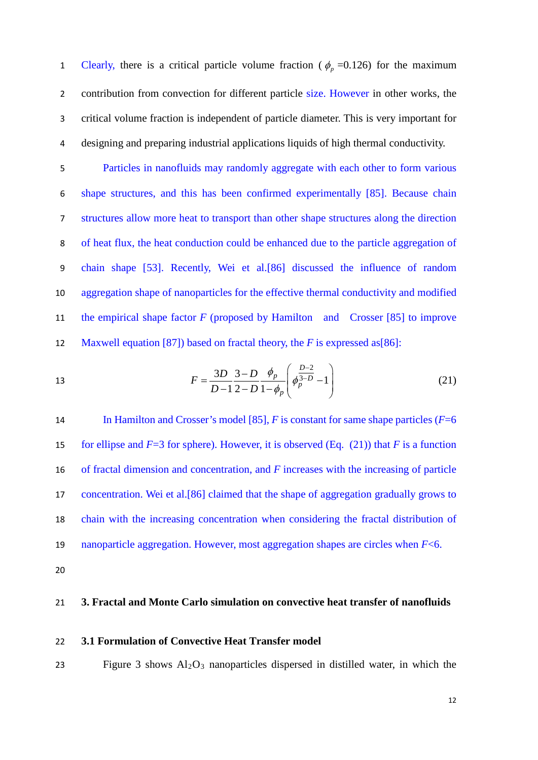Clearly, there is a critical particle volume fraction ( $\phi_p = 0.126$ ) for the maximum 2 contribution from convection for different particle size. However in other works, the 3 critical volume fraction is independent of particle diameter. This is very important for 4 designing and preparing industrial applications liquids of high thermal conductivity.

 Particles in nanofluids may randomly aggregate with each other to form various shape structures, and this has been confirmed experimentally [85]. Because chain structures allow more heat to transport than other shape structures along the direction of heat flux, the heat conduction could be enhanced due to the particle aggregation of chain shape [53]. Recently, Wei et al.[86] discussed the influence of random aggregation shape of nanoparticles for the effective thermal conductivity and modified the empirical shape factor *F* (proposed by Hamilton and Crosser [85] to improve Maxwell equation [87]) based on fractal theory, the *F* is expressed as[86]:

13 
$$
F = \frac{3D}{D-1} \frac{3-D}{2-D} \frac{\phi_p}{1-\phi_p} \left( \phi_p^{\frac{D-2}{3-D}} - 1 \right)
$$
 (21)

14 In Hamilton and Crosser's model [85], *F* is constant for same shape particles (*F*=6 15 for ellipse and  $F=3$  for sphere). However, it is observed (Eq. (21)) that *F* is a function of fractal dimension and concentration, and *F* increases with the increasing of particle concentration. Wei et al.[86] claimed that the shape of aggregation gradually grows to chain with the increasing concentration when considering the fractal distribution of nanoparticle aggregation. However, most aggregation shapes are circles when *F*<6.

<span id="page-11-0"></span>20

#### 21 **3. Fractal and Monte Carlo simulation on convective heat transfer of nanofluids**

#### <span id="page-11-1"></span>22 **3.1 Formulation of Convective Heat Transfer model**

23 Figure 3 shows Al2O3 nanoparticles dispersed in distilled water, in which the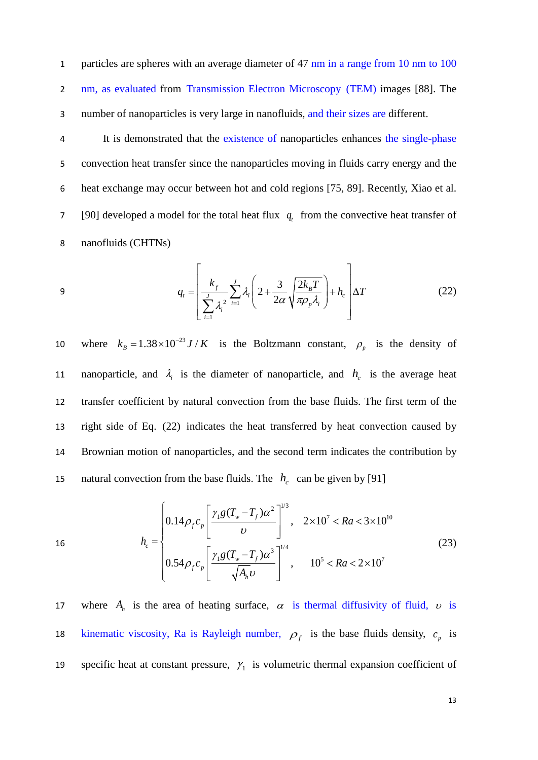1 particles are spheres with an average diameter of 47 nm in a range from 10 nm to 100 2 nm, as evaluated from Transmission Electron Microscopy (TEM) images [88]. The 3 number of nanoparticles is very large in nanofluids, and their sizes are different.

4 It is demonstrated that the existence of nanoparticles enhances the single-phase 5 convection heat transfer since the nanoparticles moving in fluids carry energy and the 6 heat exchange may occur between hot and cold regions [75, 89]. Recently, Xiao et al.  $[90]$  developed a model for the total heat flux  $q_t$  from the convective heat transfer of 8 nanofluids (CHTNs)

$$
q_{t} = \left[ \frac{k_{f}}{\sum_{i=1}^{J} \lambda_{i}^{2}} \sum_{i=1}^{J} \lambda_{i} \left( 2 + \frac{3}{2\alpha} \sqrt{\frac{2k_{B}T}{\pi \rho_{p} \lambda_{i}}} \right) + h_{c} \right] \Delta T
$$
(22)

10 where  $k_B = 1.38 \times 10^{-23} J/K$  is the Boltzmann constant,  $\rho_p$  is the density of nanoparticle, and  $\lambda_i$  is the diameter of nanoparticle, and  $h_c$  is the average heat 12 transfer coefficient by natural convection from the base fluids. The first term of the 13 right side of Eq. (22) indicates the heat transferred by heat convection caused by 14 Brownian motion of nanoparticles, and the second term indicates the contribution by natural convection from the base fluids. The  $h_c$  can be given by [91]

16  
\n
$$
h_c = \begin{cases}\n0.14 \rho_f c_p \left[ \frac{\gamma_1 g (T_w - T_f) \alpha^2}{\nu} \right]^{1/3}, & 2 \times 10^7 < Ra < 3 \times 10^{10} \\
0.54 \rho_f c_p \left[ \frac{\gamma_1 g (T_w - T_f) \alpha^3}{\sqrt{A_h} \nu} \right]^{1/4}, & 10^5 < Ra < 2 \times 10^7\n\end{cases}
$$
\n(23)

17 where  $A_h$  is the area of heating surface,  $\alpha$  is thermal diffusivity of fluid,  $\nu$  is 18 kinematic viscosity, Ra is Rayleigh number,  $\rho_f$  is the base fluids density,  $c_p$  is specific heat at constant pressure,  $\gamma_1$  is volumetric thermal expansion coefficient of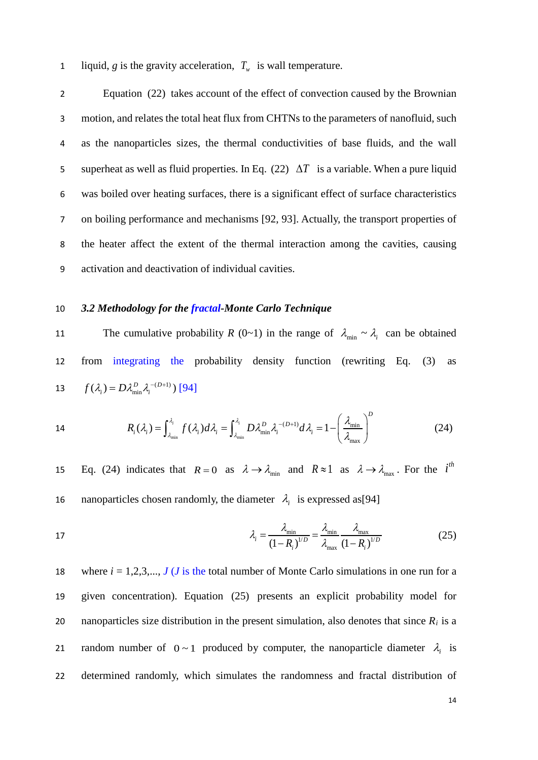1 liquid, *g* is the gravity acceleration,  $T_w$  is wall temperature.

 Equation (22) takes account of the effect of convection caused by the Brownian motion, and relates the total heat flux from CHTNs to the parameters of nanofluid, such as the nanoparticles sizes, the thermal conductivities of base fluids, and the wall superheat as well as fluid properties. In Eq. (22) ∆*T* is a variable. When a pure liquid was boiled over heating surfaces, there is a significant effect of surface characteristics on boiling performance and mechanisms [92, 93]. Actually, the transport properties of the heater affect the extent of the thermal interaction among the cavities, causing activation and deactivation of individual cavities.

#### <span id="page-13-0"></span>10 *3.2 Methodology for the fractal-Monte Carlo Technique*

The cumulative probability *R* (0~1) in the range of  $\lambda_{\min} \sim \lambda_i$  can be obtained 12 from integrating the probability density function (rewriting Eq. (3) as 13  $f(\lambda_i) = D\lambda_{\min}^D \lambda_i^{-(D+1)}$  [94]

14 
$$
R_i(\lambda_i) = \int_{\lambda_{\min}}^{\lambda_i} f(\lambda_i) d\lambda_i = \int_{\lambda_{\min}}^{\lambda_i} D\lambda_{\min}^D \lambda_i^{-(D+1)} d\lambda_i = 1 - \left(\frac{\lambda_{\min}}{\lambda_{\max}}\right)^D
$$
 (24)

15 Eq. (24) indicates that  $R = 0$  as  $\lambda \rightarrow \lambda_{\min}$  and  $R \approx 1$  as  $\lambda \rightarrow \lambda_{\max}$ . For the *i*<sup>th</sup> 16 nanoparticles chosen randomly, the diameter  $\lambda_i$  is expressed as[94]

17 
$$
\lambda_i = \frac{\lambda_{\min}}{(1 - R_i)^{1/D}} = \frac{\lambda_{\min}}{\lambda_{\max}} \frac{\lambda_{\max}}{(1 - R_i)^{1/D}}
$$
(25)

18 where  $i = 1, 2, 3, \ldots, J$  (*J* is the total number of Monte Carlo simulations in one run for a 19 given concentration). Equation (25) presents an explicit probability model for 20 nanoparticles size distribution in the present simulation, also denotes that since  $R_i$  is a 21 random number of  $0 \sim 1$  produced by computer, the nanoparticle diameter  $\lambda_i$  is 22 determined randomly, which simulates the randomness and fractal distribution of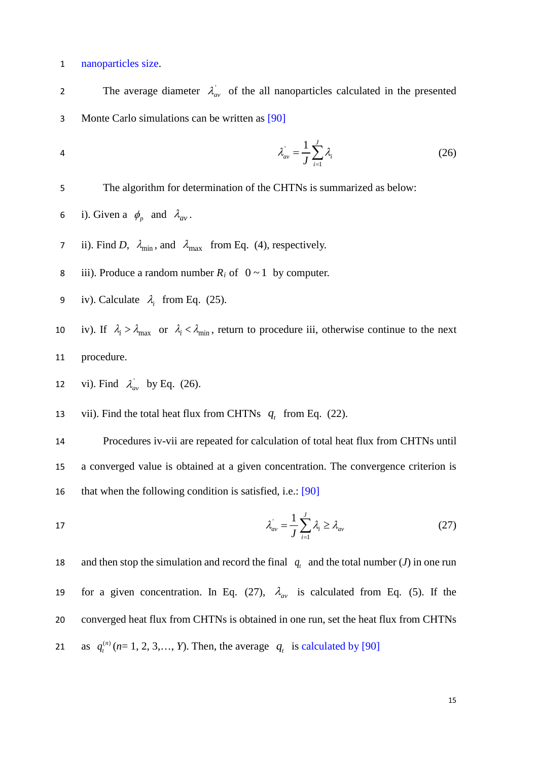1 nanoparticles size.

The average diameter  $\lambda_{av}$  of the all nanoparticles calculated in the presented 3 Monte Carlo simulations can be written as [90] ' 1  $1\frac{J}{\mathbf{S}}$  $\lambda_{av} = \frac{1}{J} \sum_{i=1}^{J} \lambda_i$ 4  $\lambda_{av} = \frac{1}{J} \sum_{i=1}^J \lambda_i$  (26) 5 The algorithm for determination of the CHTNs is summarized as below: 6 i). Given a  $\phi_p$  and  $\lambda_{av}$ . 7 ii). Find *D*,  $\lambda_{\min}$ , and  $\lambda_{\max}$  from Eq. (4), respectively. 8 iii). Produce a random number  $R_i$  of  $0 \sim 1$  by computer. 9 iv). Calculate  $\lambda_i$  from Eq. (25). 10 iv). If  $\lambda_i > \lambda_{\text{max}}$  or  $\lambda_i < \lambda_{\text{min}}$ , return to procedure iii, otherwise continue to the next 11 procedure. 12 vi). Find  $\lambda_{av}^{'}$  by Eq. (26). 13 vii). Find the total heat flux from CHTNs  $q_t$  from Eq. (22). 14 Procedures iv-vii are repeated for calculation of total heat flux from CHTNs until 15 a converged value is obtained at a given concentration. The convergence criterion is 16 that when the following condition is satisfied, i.e.: [90] ' 1  $1\frac{J}{\mathbf{S}}$  $\lambda_{av} = \frac{1}{J} \sum_{i=1}^J \lambda_i \geq \lambda_{av}$ 17  $\lambda_{av} = \frac{1}{J} \sum_{i=1} \lambda_i \ge \lambda_{av}$  (27) and then stop the simulation and record the final  $q_t$  and the total number (*J*) in one run for a given concentration. In Eq. (27),  $\lambda_{av}$  is calculated from Eq. (5). If the 20 converged heat flux from CHTNs is obtained in one run, set the heat flux from CHTNs

as  $q_t^{(n)}$  ( $n=1, 2, 3,..., Y$ ). Then, the average  $q_t$  is calculated by [90]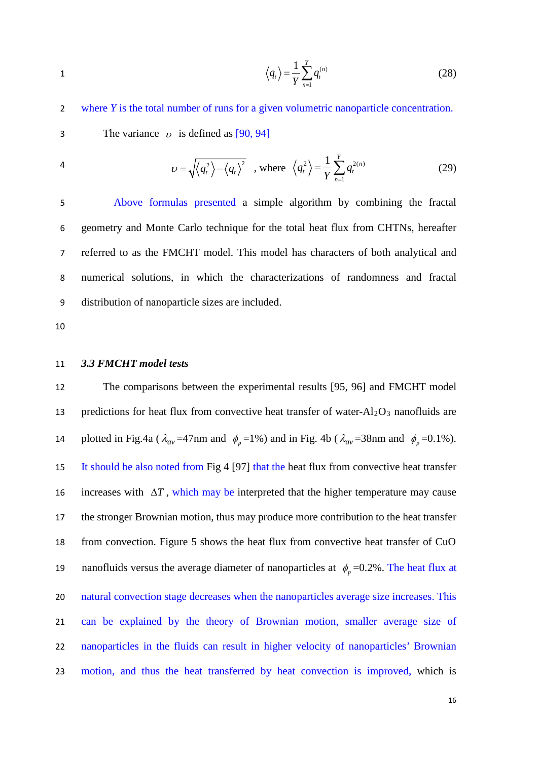$$
\left\langle q_{t}\right\rangle =\frac{1}{Y}\sum_{n=1}^{Y}q_{t}^{(n)}\tag{28}
$$

 where *Y* is the total number of runs for a given volumetric nanoparticle concentration. 3 The variance  $\nu$  is defined as [90, 94]

4 
$$
\upsilon = \sqrt{\langle q_t^2 \rangle - \langle q_t \rangle^2}, \text{ where } \langle q_t^2 \rangle = \frac{1}{Y} \sum_{n=1}^{Y} q_t^{2(n)} \tag{29}
$$

 Above formulas presented a simple algorithm by combining the fractal geometry and Monte Carlo technique for the total heat flux from CHTNs, hereafter referred to as the FMCHT model. This model has characters of both analytical and numerical solutions, in which the characterizations of randomness and fractal distribution of nanoparticle sizes are included.

#### <span id="page-15-0"></span>*3.3 FMCHT model tests*

 The comparisons between the experimental results [95, 96] and FMCHT model 13 predictions for heat flux from convective heat transfer of water- $A1_2O_3$  nanofluids are 14 plotted in Fig.4a ( $\lambda_{av}$  =47nm and  $\phi_p$  =1%) and in Fig. 4b ( $\lambda_{av}$  =38nm and  $\phi_p$  =0.1%). It should be also noted from Fig 4 [97] that the heat flux from convective heat transfer 16 increases with  $\Delta T$ , which may be interpreted that the higher temperature may cause the stronger Brownian motion, thus may produce more contribution to the heat transfer from convection. Figure 5 shows the heat flux from convective heat transfer of CuO nanofluids versus the average diameter of nanoparticles at  $\phi_p = 0.2\%$ . The heat flux at natural convection stage decreases when the nanoparticles average size increases. This can be explained by the theory of Brownian motion, smaller average size of nanoparticles in the fluids can result in higher velocity of nanoparticles' Brownian motion, and thus the heat transferred by heat convection is improved, which is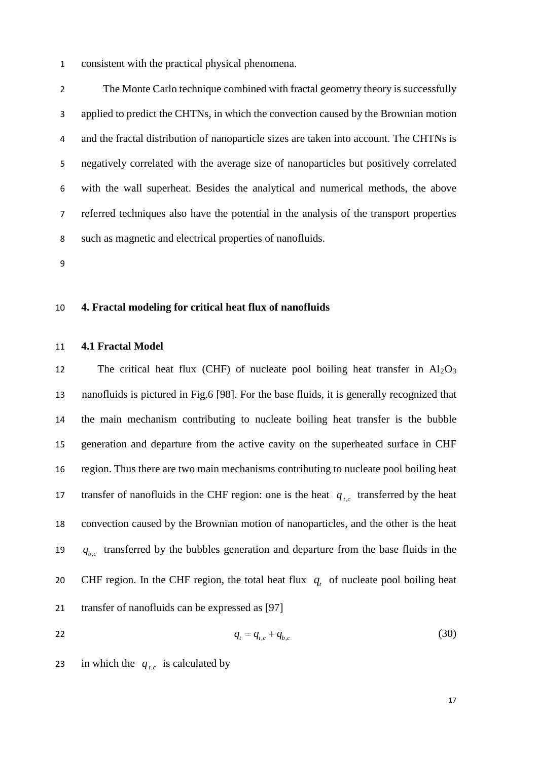consistent with the practical physical phenomena.

 The Monte Carlo technique combined with fractal geometry theory is successfully applied to predict the CHTNs, in which the convection caused by the Brownian motion and the fractal distribution of nanoparticle sizes are taken into account. The CHTNs is negatively correlated with the average size of nanoparticles but positively correlated with the wall superheat. Besides the analytical and numerical methods, the above referred techniques also have the potential in the analysis of the transport properties such as magnetic and electrical properties of nanofluids.

<span id="page-16-0"></span>

#### **4. Fractal modeling for critical heat flux of nanofluids**

#### <span id="page-16-1"></span>**4.1 Fractal Model**

12 The critical heat flux (CHF) of nucleate pool boiling heat transfer in  $Al_2O_3$  nanofluids is pictured in Fig.6 [98]. For the base fluids, it is generally recognized that the main mechanism contributing to nucleate boiling heat transfer is the bubble generation and departure from the active cavity on the superheated surface in CHF region. Thus there are two main mechanisms contributing to nucleate pool boiling heat transfer of nanofluids in the CHF region: one is the heat  $q_{t,c}$  transferred by the heat convection caused by the Brownian motion of nanoparticles, and the other is the heat  $q_{bc}$  transferred by the bubbles generation and departure from the base fluids in the 20 CHF region. In the CHF region, the total heat flux  $q_t$  of nucleate pool boiling heat transfer of nanofluids can be expressed as [97]

- $q_t = q_{t} + q_{b}$  (30)
- 23 in which the  $q_{tc}$  is calculated by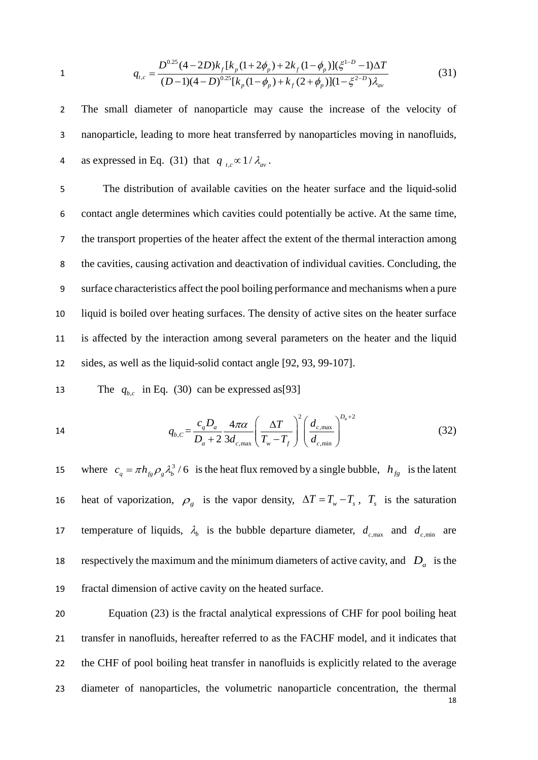1 
$$
q_{t,c} = \frac{D^{0.25}(4-2D)k_f[k_p(1+2\phi_p) + 2k_f(1-\phi_p)](\xi^{1-D}-1)\Delta T}{(D-1)(4-D)^{0.25}[k_p(1-\phi_p) + k_f(2+\phi_p)](1-\xi^{2-D})\lambda_{av}}
$$
(31)

2 The small diameter of nanoparticle may cause the increase of the velocity of 3 nanoparticle, leading to more heat transferred by nanoparticles moving in nanofluids, as expressed in Eq. (31) that  $q_{tc} \propto 1/\lambda_{av}$ .

 The distribution of available cavities on the heater surface and the liquid-solid contact angle determines which cavities could potentially be active. At the same time, the transport properties of the heater affect the extent of the thermal interaction among the cavities, causing activation and deactivation of individual cavities. Concluding, the surface characteristics affect the pool boiling performance and mechanisms when a pure liquid is boiled over heating surfaces. The density of active sites on the heater surface is affected by the interaction among several parameters on the heater and the liquid sides, as well as the liquid-solid contact angle [92, 93, 99-107].

The 
$$
q_{b,c}
$$
 in Eq. (30) can be expressed as [93]

14 
$$
q_{b,C} = \frac{c_q D_a}{D_a + 2} \frac{4\pi\alpha}{3d_{c,\text{max}}} \left(\frac{\Delta T}{T_w - T_f}\right)^2 \left(\frac{d_{c,\text{max}}}{d_{c,\text{min}}}\right)^{D_a + 2}
$$
(32)

15 where  $c_q = \pi h_{fg} \rho_g \lambda_b^3 / 6$  is the heat flux removed by a single bubble,  $h_{fg}$  is the latent heat of vaporization,  $\rho_g$  is the vapor density,  $\Delta T = T_w - T_s$ ,  $T_s$  is the saturation temperature of liquids,  $\lambda_b$  is the bubble departure diameter,  $d_{c,\text{max}}$  and  $d_{c,\text{min}}$  are 18 respectively the maximum and the minimum diameters of active cavity, and  $D_a$  is the 19 fractal dimension of active cavity on the heated surface.

18 Equation (23) is the fractal analytical expressions of CHF for pool boiling heat transfer in nanofluids, hereafter referred to as the FACHF model, and it indicates that the CHF of pool boiling heat transfer in nanofluids is explicitly related to the average diameter of nanoparticles, the volumetric nanoparticle concentration, the thermal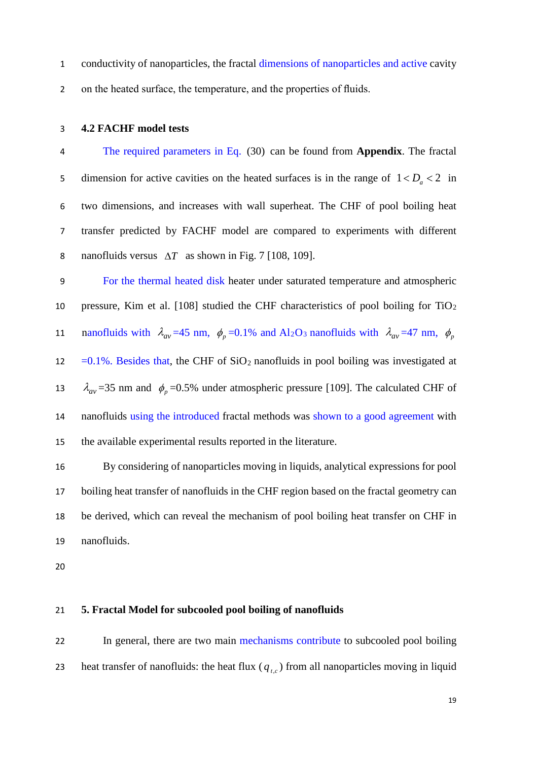- conductivity of nanoparticles, the fractal dimensions of nanoparticles and active cavity
- on the heated surface, the temperature, and the properties of fluids.

#### <span id="page-18-0"></span>**4.2 FACHF model tests**

 The required parameters in Eq. (30) can be found from **Appendix**. The fractal 5 dimension for active cavities on the heated surfaces is in the range of  $1 < D_a < 2$  in two dimensions, and increases with wall superheat. The CHF of pool boiling heat transfer predicted by FACHF model are compared to experiments with different nanofluids versus ∆*T* as shown in Fig. 7 [108, 109].

 For the thermal heated disk heater under saturated temperature and atmospheric 10 pressure, Kim et al.  $[108]$  studied the CHF characteristics of pool boiling for TiO<sub>2</sub> 11 nanofluids with  $\lambda_{av} = 45$  nm,  $\phi_p = 0.1\%$  and Al<sub>2</sub>O<sub>3</sub> nanofluids with  $\lambda_{av} = 47$  nm,  $\phi_p$ 12 =  $0.1\%$ . Besides that, the CHF of SiO<sub>2</sub> nanofluids in pool boiling was investigated at 13  $\lambda_{av}$  =35 nm and  $\phi_p$  =0.5% under atmospheric pressure [109]. The calculated CHF of nanofluids using the introduced fractal methods was shown to a good agreement with the available experimental results reported in the literature.

 By considering of nanoparticles moving in liquids, analytical expressions for pool boiling heat transfer of nanofluids in the CHF region based on the fractal geometry can be derived, which can reveal the mechanism of pool boiling heat transfer on CHF in nanofluids.

#### <span id="page-18-1"></span>**5. Fractal Model for subcooled pool boiling of nanofluids**

 In general, there are two main mechanisms contribute to subcooled pool boiling 23 heat transfer of nanofluids: the heat flux  $(q_{tc})$  from all nanoparticles moving in liquid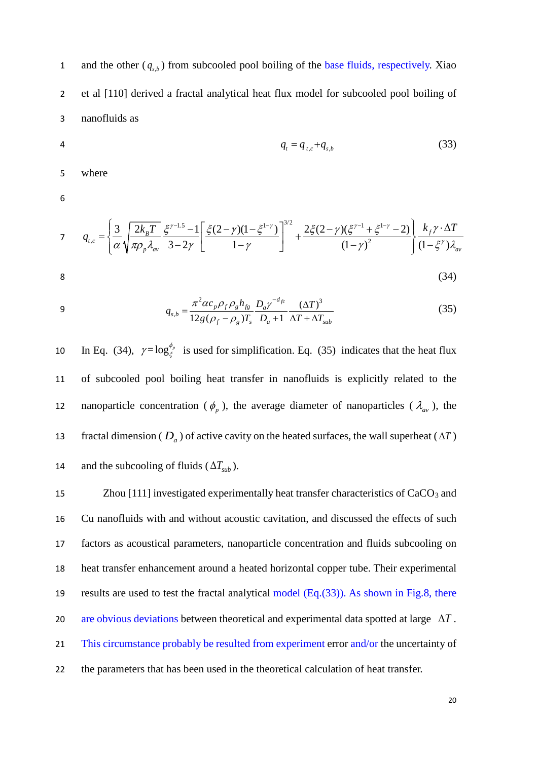and the other  $(q_{s,b})$  from subcooled pool boiling of the base fluids, respectively. Xiao 2 et al [110] derived a fractal analytical heat flux model for subcooled pool boiling of 3 nanofluids as

$$
q_t = q_{t,c} + q_{s,b} \tag{33}
$$

5 where

6

$$
q_{t,c} = \left\{\frac{3}{\alpha} \sqrt{\frac{2k_B T}{\pi \rho_p \lambda_{av}}} \frac{\xi^{\gamma - 1.5} - 1}{3 - 2\gamma} \left[ \frac{\xi (2 - \gamma)(1 - \xi^{1 - \gamma})}{1 - \gamma} \right]^{3/2} + \frac{2\xi (2 - \gamma)(\xi^{\gamma - 1} + \xi^{1 - \gamma} - 2)}{(1 - \gamma)^2} \right\} \frac{k_f \gamma \cdot \Delta T}{(1 - \xi^{\gamma}) \lambda_{av}}
$$
\n
$$
8 \tag{34}
$$

$$
f_{\rm{max}}
$$

9 
$$
q_{s,b} = \frac{\pi^2 \alpha c_p \rho_f \rho_g h_{fg}}{12g(\rho_f - \rho_g)T_s} \frac{D_a \gamma^{-d_{fc}}}{D_a + 1} \frac{(\Delta T)^3}{\Delta T + \Delta T_{sub}}
$$
(35)

10 In Eq. (34),  $\gamma = \log_{\xi}^{\phi_p}$  is used for simplification. Eq. (35) indicates that the heat flux 11 of subcooled pool boiling heat transfer in nanofluids is explicitly related to the nanoparticle concentration ( $\phi_p$ ), the average diameter of nanoparticles ( $\lambda_{av}$ ), the fractal dimension ( $D_a$ ) of active cavity on the heated surfaces, the wall superheat ( $\Delta T$ ) and the subcooling of fluids  $(\Delta T_{sub})$ .

15 Zhou [111] investigated experimentally heat transfer characteristics of CaCO<sub>3</sub> and Cu nanofluids with and without acoustic cavitation, and discussed the effects of such factors as acoustical parameters, nanoparticle concentration and fluids subcooling on heat transfer enhancement around a heated horizontal copper tube. Their experimental results are used to test the fractal analytical model (Eq.(33)). As shown in Fig.8, there are obvious deviations between theoretical and experimental data spotted at large ∆*T* . 21 This circumstance probably be resulted from experiment error and/or the uncertainty of the parameters that has been used in the theoretical calculation of heat transfer.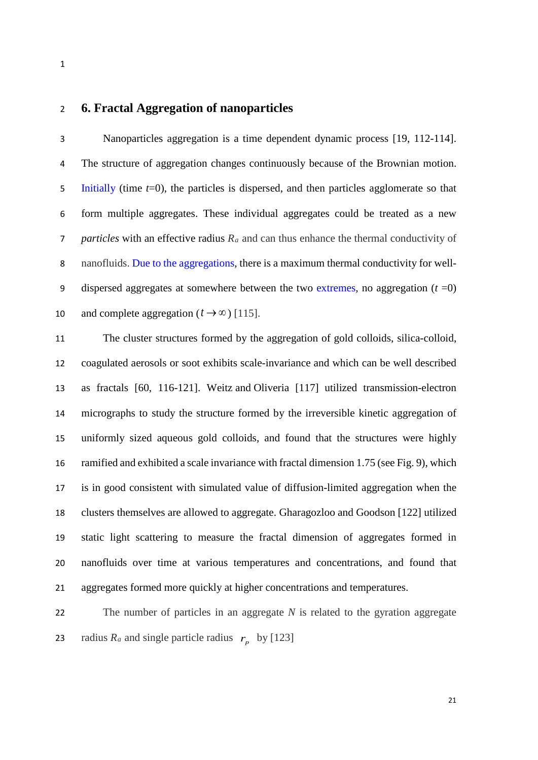### <span id="page-20-0"></span>**6. Fractal Aggregation of nanoparticles**

 Nanoparticles aggregation is a time dependent dynamic process [19, 112-114]. The structure of aggregation changes continuously because of the Brownian motion. Initially (time *t*=0), the particles is dispersed, and then particles agglomerate so that form multiple aggregates. These individual aggregates could be treated as a new *particles* with an effective radius *Ra* and can thus enhance the thermal conductivity of nanofluids. Due to the aggregations, there is a maximum thermal conductivity for well- dispersed aggregates at somewhere between the two extremes, no aggregation (*t* =0) 10 and complete aggregation  $(t \rightarrow \infty)$  [115].

 The cluster structures formed by the aggregation of gold colloids, silica-colloid, coagulated aerosols or soot exhibits scale-invariance and which can be well described as fractals [60, 116-121]. Weitz and Oliveria [117] utilized transmission-electron micrographs to study the structure formed by the irreversible kinetic aggregation of uniformly sized aqueous gold colloids, and found that the structures were highly ramified and exhibited a scale invariance with fractal dimension 1.75 (see Fig. 9), which is in good consistent with simulated value of diffusion-limited aggregation when the clusters themselves are allowed to aggregate. Gharagozloo and Goodson [122] utilized static light scattering to measure the fractal dimension of aggregates formed in nanofluids over time at various temperatures and concentrations, and found that aggregates formed more quickly at higher concentrations and temperatures.

 The number of particles in an aggregate *N* is related to the gyration aggregate radius  $R_a$  and single particle radius  $r_p$  by [123]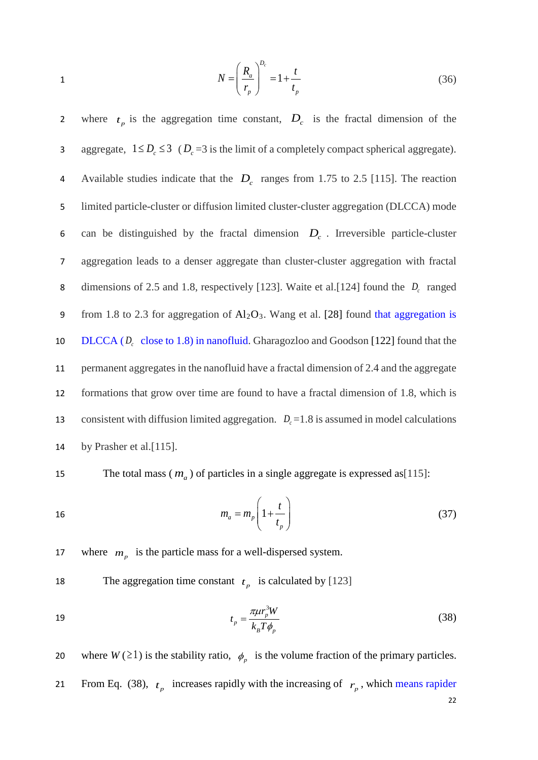$$
N = \left(\frac{R_a}{r_p}\right)^{D_c} = 1 + \frac{t}{t_p} \tag{36}
$$

2 where  $t_p$  is the aggregation time constant,  $D_c$  is the fractal dimension of the aggregate,  $1 \le D_c \le 3$  ( $D_c = 3$  is the limit of a completely compact spherical aggregate). Available studies indicate that the  $D_c$  ranges from 1.75 to 2.5 [115]. The reaction 5 limited particle-cluster or diffusion limited cluster-cluster aggregation (DLCCA) mode 6 can be distinguished by the fractal dimension  $D<sub>c</sub>$ . Irreversible particle-cluster 7 aggregation leads to a denser aggregate than cluster-cluster aggregation with fractal 8 dimensions of 2.5 and 1.8, respectively [123]. Waite et al. [124] found the  $D_c$  ranged 9 from 1.8 to 2.3 for aggregation of  $Al_2O_3$ . Wang et al. [28] found that aggregation is 10 DLCCA  $(D_c \text{ close to } 1.8)$  in nanofluid. Gharagozloo and Goodson [122] found that the 11 permanent aggregates in the nanofluid have a fractal dimension of 2.4 and the aggregate 12 formations that grow over time are found to have a fractal dimension of 1.8, which is 13 consistent with diffusion limited aggregation.  $D_c = 1.8$  is assumed in model calculations 14 by Prasher et al. [115].

The total mass  $(m_a)$  of particles in a single aggregate is expressed as [115]:

$$
m_a = m_p \left( 1 + \frac{t}{t_p} \right) \tag{37}
$$

17 where  $m_p$  is the particle mass for a well-dispersed system.

The aggregation time constant  $t_p$  is calculated by [123]

$$
t_p = \frac{\pi \mu r_p^3 W}{k_B T \phi_p} \tag{38}
$$

22 20 where  $W(\geq 1)$  is the stability ratio,  $\phi_n$  is the volume fraction of the primary particles. From Eq. (38),  $t_p$  increases rapidly with the increasing of  $r_p$ , which means rapider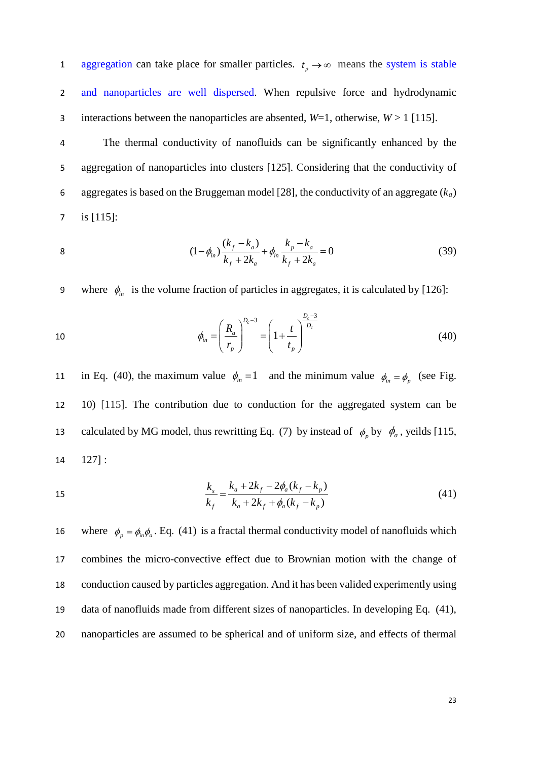aggregation can take place for smaller particles.  $t_p \rightarrow \infty$  means the system is stable 2 and nanoparticles are well dispersed. When repulsive force and hydrodynamic 3 interactions between the nanoparticles are absented,  $W=1$ , otherwise,  $W>1$  [115].

 The thermal conductivity of nanofluids can be significantly enhanced by the aggregation of nanoparticles into clusters [125]. Considering that the conductivity of aggregates is based on the Bruggeman model [28], the conductivity of an aggregate (*ka*) is [115]:

8 
$$
(1 - \phi_{in}) \frac{(k_f - k_a)}{k_f + 2k_a} + \phi_{in} \frac{k_p - k_a}{k_f + 2k_a} = 0
$$
 (39)

9 where  $\phi_{in}$  is the volume fraction of particles in aggregates, it is calculated by [126]:

10 
$$
\phi_{in} = \left(\frac{R_a}{r_p}\right)^{D_c - 3} = \left(1 + \frac{t}{t_p}\right)^{\frac{D_c - 3}{D_c}}
$$
(40)

in Eq. (40), the maximum value  $\phi_{in} = 1$  and the minimum value  $\phi_{in} = \phi_p$  (see Fig. 12 10) [115]. The contribution due to conduction for the aggregated system can be calculated by MG model, thus rewritting Eq. (7) by instead of  $\phi_p$  by  $\phi_a$ , yeilds [115, 14 127] :

15 
$$
\frac{k_s}{k_f} = \frac{k_a + 2k_f - 2\phi_a(k_f - k_p)}{k_a + 2k_f + \phi_a(k_f - k_p)}
$$
(41)

16 where  $\phi_p = \phi_{in} \phi_a$ . Eq. (41) is a fractal thermal conductivity model of nanofluids which combines the micro-convective effect due to Brownian motion with the change of conduction caused by particles aggregation. And it has been valided experimently using data of nanofluids made from different sizes of nanoparticles. In developing Eq. (41), nanoparticles are assumed to be spherical and of uniform size, and effects of thermal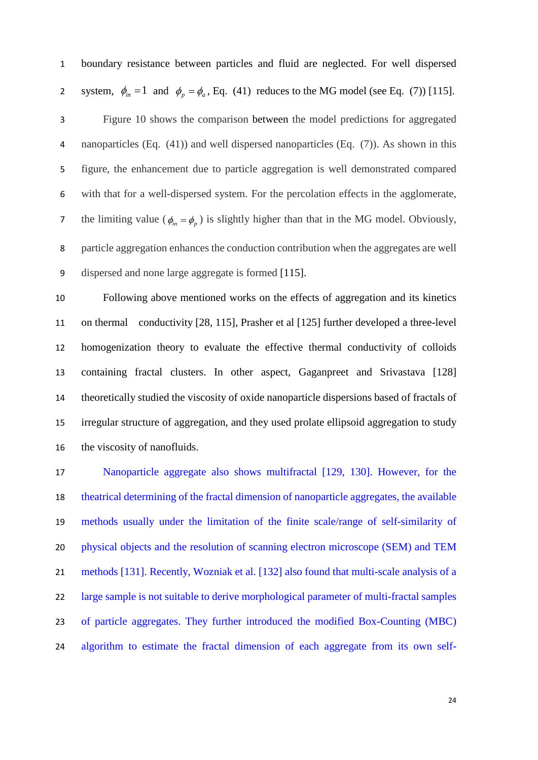boundary resistance between particles and fluid are neglected. For well dispersed system,  $\phi_{in} = 1$  and  $\phi_p = \phi_a$ , Eq. (41) reduces to the MG model (see Eq. (7)) [115]. Figure 10 shows the comparison between the model predictions for aggregated nanoparticles (Eq. (41)) and well dispersed nanoparticles (Eq. (7)). As shown in this figure, the enhancement due to particle aggregation is well demonstrated compared with that for a well-dispersed system. For the percolation effects in the agglomerate, 7 the limiting value ( $\phi_{in} = \phi_p$ ) is slightly higher than that in the MG model. Obviously, particle aggregation enhances the conduction contribution when the aggregates are well dispersed and none large aggregate is formed [115].

 Following above mentioned works on the effects of aggregation and its kinetics on thermal conductivity [28, 115], Prasher et al [125] further developed a three-level homogenization theory to evaluate the effective thermal conductivity of colloids containing fractal clusters. In other aspect, Gaganpreet and Srivastava [128] theoretically studied the viscosity of oxide nanoparticle dispersions based of fractals of irregular structure of aggregation, and they used prolate ellipsoid aggregation to study the viscosity of nanofluids.

 Nanoparticle aggregate also shows multifractal [129, 130]. However, for the theatrical determining of the fractal dimension of nanoparticle aggregates, the available methods usually under the limitation of the finite scale/range of self-similarity of physical objects and the resolution of scanning electron microscope (SEM) and TEM methods [131]. Recently, Wozniak et al. [132] also found that multi-scale analysis of a 22 large sample is not suitable to derive morphological parameter of multi-fractal samples of particle aggregates. They further introduced the modified Box-Counting (MBC) algorithm to estimate the fractal dimension of each aggregate from its own self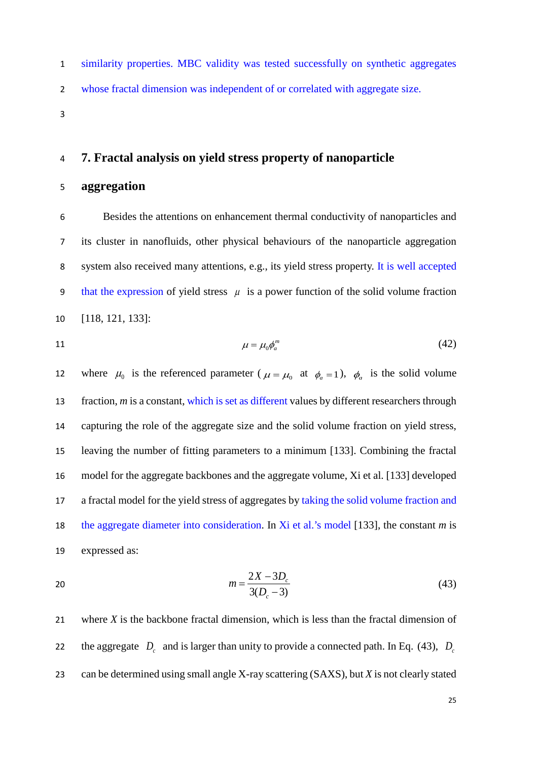similarity properties. MBC validity was tested successfully on synthetic aggregates whose fractal dimension was independent of or correlated with aggregate size.

## <span id="page-24-0"></span>**7. Fractal analysis on yield stress property of nanoparticle**

## **aggregation**

 Besides the attentions on enhancement thermal conductivity of nanoparticles and its cluster in nanofluids, other physical behaviours of the nanoparticle aggregation system also received many attentions, e.g., its yield stress property. It is well accepted 9 that the expression of yield stress  $\mu$  is a power function of the solid volume fraction [118, 121, 133]:

$$
\mu = \mu_0 \phi_a^m \tag{42}
$$

12 where  $\mu_0$  is the referenced parameter ( $\mu = \mu_0$  at  $\phi_a = 1$ ),  $\phi_a$  is the solid volume fraction, *m* is a constant, which is set as different values by different researchers through capturing the role of the aggregate size and the solid volume fraction on yield stress, leaving the number of fitting parameters to a minimum [133]. Combining the fractal model for the aggregate backbones and the aggregate volume, Xi et al. [133] developed a fractal model for the yield stress of aggregates by taking the solid volume fraction and the aggregate diameter into consideration. In Xi et al.'s model [133], the constant *m* is expressed as:

20 
$$
m = \frac{2X - 3D_c}{3(D_c - 3)}
$$
 (43)

 where *X* is the backbone fractal dimension, which is less than the fractal dimension of the aggregate  $D_c$  and is larger than unity to provide a connected path. In Eq. (43),  $D_c$ can be determined using small angle X-ray scattering (SAXS), but *X* is not clearly stated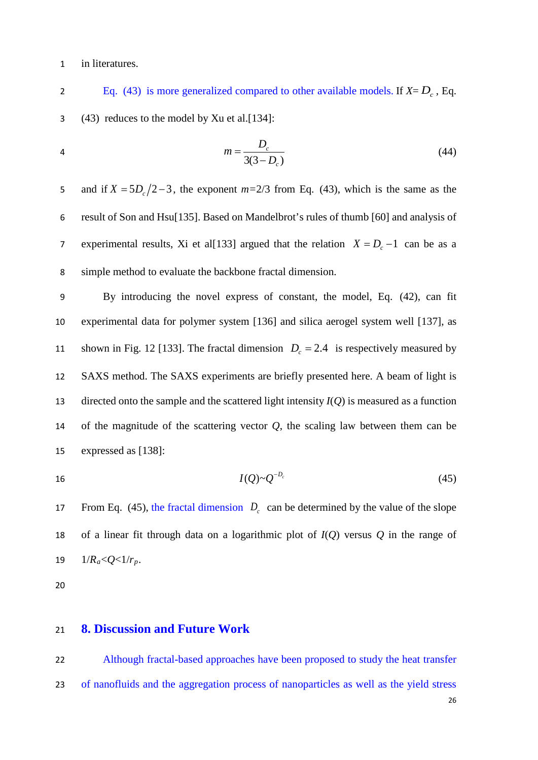#### in literatures.

Eq. (43) is more generalized compared to other available models. If  $X = D_c$ , Eq. (43) reduces to the model by Xu et al.[134]:

4 
$$
m = \frac{D_c}{3(3 - D_c)}
$$
 (44)

5 and if  $X = 5D_c/2-3$ , the exponent  $m=2/3$  from Eq. (43), which is the same as the result of Son and Hsu[135]. Based on Mandelbrot's rules of thumb [60] and analysis of experimental results, Xi et al[133] argued that the relation  $X = D_c - 1$  can be as a simple method to evaluate the backbone fractal dimension.

 By introducing the novel express of constant, the model, Eq. (42), can fit experimental data for polymer system [136] and silica aerogel system well [137], as shown in Fig. 12 [133]. The fractal dimension  $D_c = 2.4$  is respectively measured by SAXS method. The SAXS experiments are briefly presented here. A beam of light is directed onto the sample and the scattered light intensity *I*(*Q*) is measured as a function of the magnitude of the scattering vector *Q*, the scaling law between them can be expressed as [138]:

$$
I(Q) \sim Q^{-D_c} \tag{45}
$$

From Eq. (45), the fractal dimension  $D<sub>c</sub>$  can be determined by the value of the slope of a linear fit through data on a logarithmic plot of *I*(*Q*) versus *Q* in the range of 19  $1/R_a < Q < 1/r_p$ .

### <span id="page-25-0"></span>**8. Discussion and Future Work**

 Although fractal-based approaches have been proposed to study the heat transfer of nanofluids and the aggregation process of nanoparticles as well as the yield stress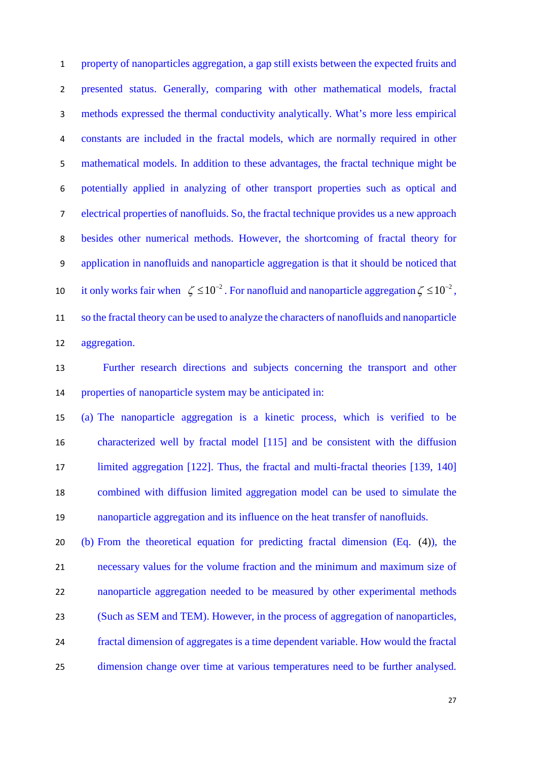property of nanoparticles aggregation, a gap still exists between the expected fruits and presented status. Generally, comparing with other mathematical models, fractal methods expressed the thermal conductivity analytically. What's more less empirical constants are included in the fractal models, which are normally required in other mathematical models. In addition to these advantages, the fractal technique might be potentially applied in analyzing of other transport properties such as optical and electrical properties of nanofluids. So, the fractal technique provides us a new approach besides other numerical methods. However, the shortcoming of fractal theory for application in nanofluids and nanoparticle aggregation is that it should be noticed that it only works fair when  $\zeta \le 10^{-2}$ . For nanofluid and nanoparticle aggregation  $\zeta \le 10^{-2}$ , so the fractal theory can be used to analyze the characters of nanofluids and nanoparticle aggregation.

 Further research directions and subjects concerning the transport and other properties of nanoparticle system may be anticipated in:

 (a) The nanoparticle aggregation is a kinetic process, which is verified to be characterized well by fractal model [115] and be consistent with the diffusion 17 limited aggregation [122]. Thus, the fractal and multi-fractal theories [139, 140] combined with diffusion limited aggregation model can be used to simulate the nanoparticle aggregation and its influence on the heat transfer of nanofluids.

 (b) From the theoretical equation for predicting fractal dimension (Eq. (4)), the necessary values for the volume fraction and the minimum and maximum size of nanoparticle aggregation needed to be measured by other experimental methods (Such as SEM and TEM). However, in the process of aggregation of nanoparticles, fractal dimension of aggregates is a time dependent variable. How would the fractal dimension change over time at various temperatures need to be further analysed.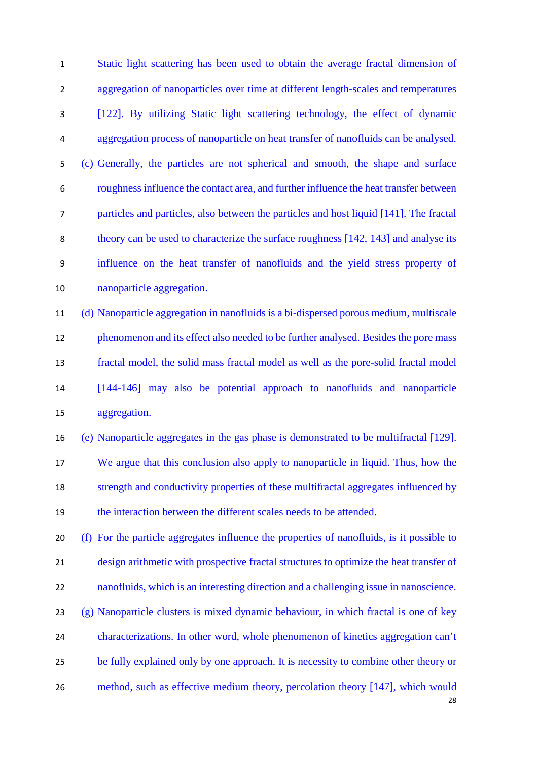Static light scattering has been used to obtain the average fractal dimension of aggregation of nanoparticles over time at different length-scales and temperatures [122]. By utilizing Static light scattering technology, the effect of dynamic aggregation process of nanoparticle on heat transfer of nanofluids can be analysed. (c) Generally, the particles are not spherical and smooth, the shape and surface roughness influence the contact area, and further influence the heat transfer between particles and particles, also between the particles and host liquid [141]. The fractal theory can be used to characterize the surface roughness [142, 143] and analyse its influence on the heat transfer of nanofluids and the yield stress property of nanoparticle aggregation.

 (d) Nanoparticle aggregation in nanofluids is a bi-dispersed porous medium, multiscale phenomenon and its effect also needed to be further analysed. Besides the pore mass fractal model, the solid mass fractal model as well as the pore-solid fractal model [144-146] may also be potential approach to nanofluids and nanoparticle aggregation.

 (e) Nanoparticle aggregates in the gas phase is demonstrated to be multifractal [129]. We argue that this conclusion also apply to nanoparticle in liquid. Thus, how the strength and conductivity properties of these multifractal aggregates influenced by the interaction between the different scales needs to be attended.

 (f) For the particle aggregates influence the properties of nanofluids, is it possible to design arithmetic with prospective fractal structures to optimize the heat transfer of nanofluids, which is an interesting direction and a challenging issue in nanoscience. (g) Nanoparticle clusters is mixed dynamic behaviour, in which fractal is one of key characterizations. In other word, whole phenomenon of kinetics aggregation can't be fully explained only by one approach. It is necessity to combine other theory or method, such as effective medium theory, percolation theory [147], which would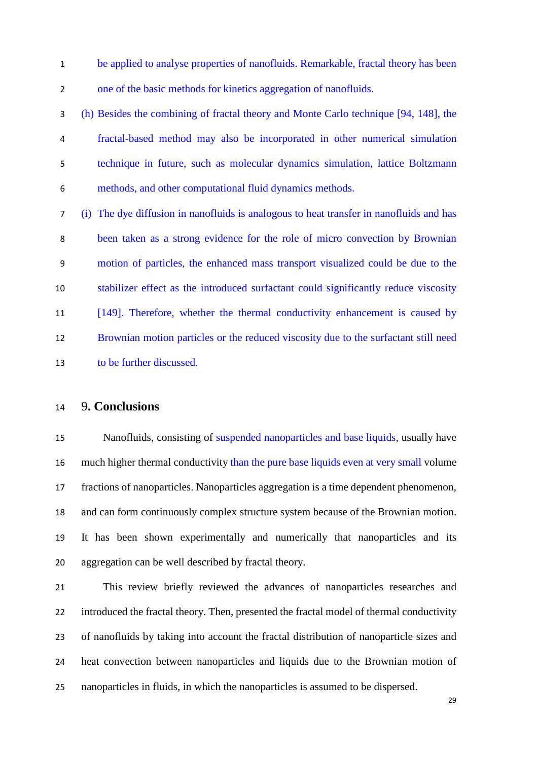be applied to analyse properties of nanofluids. Remarkable, fractal theory has been one of the basic methods for kinetics aggregation of nanofluids.

 (h) Besides the combining of fractal theory and Monte Carlo technique [94, 148], the fractal-based method may also be incorporated in other numerical simulation technique in future, such as molecular dynamics simulation, lattice Boltzmann methods, and other computational fluid dynamics methods.

 (i) The dye diffusion in nanofluids is analogous to heat transfer in nanofluids and has been taken as a strong evidence for the role of micro convection by Brownian motion of particles, the enhanced mass transport visualized could be due to the stabilizer effect as the introduced surfactant could significantly reduce viscosity [149]. Therefore, whether the thermal conductivity enhancement is caused by Brownian motion particles or the reduced viscosity due to the surfactant still need to be further discussed.

#### <span id="page-28-0"></span>9**. Conclusions**

 Nanofluids, consisting of suspended nanoparticles and base liquids, usually have much higher thermal conductivity than the pure base liquids even at very small volume fractions of nanoparticles. Nanoparticles aggregation is a time dependent phenomenon, and can form continuously complex structure system because of the Brownian motion. It has been shown experimentally and numerically that nanoparticles and its aggregation can be well described by fractal theory.

 This review briefly reviewed the advances of nanoparticles researches and introduced the fractal theory. Then, presented the fractal model of thermal conductivity of nanofluids by taking into account the fractal distribution of nanoparticle sizes and heat convection between nanoparticles and liquids due to the Brownian motion of nanoparticles in fluids, in which the nanoparticles is assumed to be dispersed.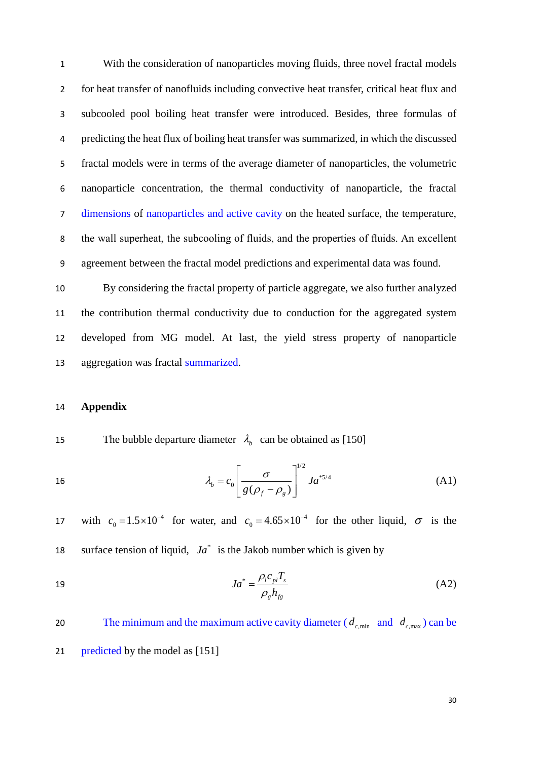With the consideration of nanoparticles moving fluids, three novel fractal models for heat transfer of nanofluids including convective heat transfer, critical heat flux and subcooled pool boiling heat transfer were introduced. Besides, three formulas of predicting the heat flux of boiling heat transfer was summarized, in which the discussed fractal models were in terms of the average diameter of nanoparticles, the volumetric nanoparticle concentration, the thermal conductivity of nanoparticle, the fractal dimensions of nanoparticles and active cavity on the heated surface, the temperature, the wall superheat, the subcooling of fluids, and the properties of fluids. An excellent agreement between the fractal model predictions and experimental data was found.

 By considering the fractal property of particle aggregate, we also further analyzed the contribution thermal conductivity due to conduction for the aggregated system developed from MG model. At last, the yield stress property of nanoparticle aggregation was fractal summarized.

#### <span id="page-29-0"></span>14 **Appendix**

The bubble departure diameter  $\lambda_h$  can be obtained as [150]

16 
$$
\lambda_b = c_0 \left[ \frac{\sigma}{g(\rho_f - \rho_g)} \right]^{1/2} J a^{*5/4}
$$
 (A1)

17 with  $c_0 = 1.5 \times 10^{-4}$  for water, and  $c_0 = 4.65 \times 10^{-4}$  for the other liquid,  $\sigma$  is the 18 surface tension of liquid,  $Ja^*$  is the Jakob number which is given by

$$
Ja^* = \frac{\rho_l c_{pl} T_s}{\rho_g h_{fg}}\tag{A2}
$$

The minimum and the maximum active cavity diameter ( $d_{c,\text{min}}$  and  $d_{c,\text{max}}$ ) can be 21 predicted by the model as [151]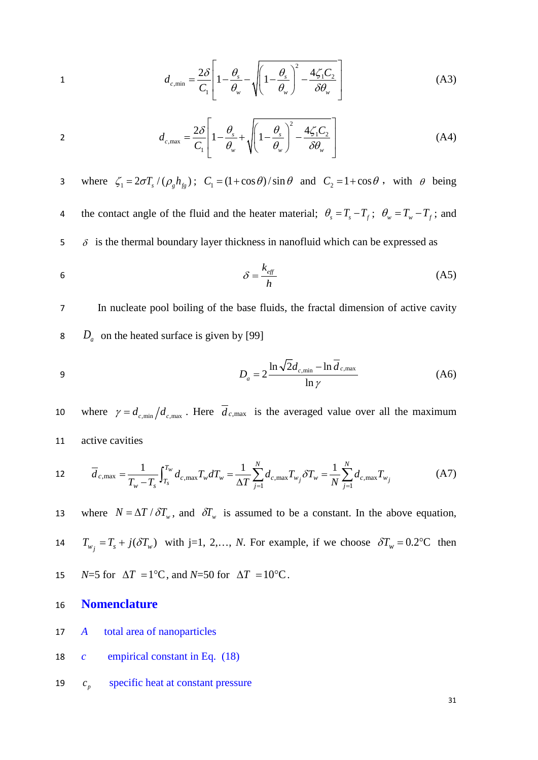$$
d_{c,\min} = \frac{2\delta}{C_1} \left[ 1 - \frac{\theta_s}{\theta_w} - \sqrt{\left( 1 - \frac{\theta_s}{\theta_w} \right)^2 - \frac{4\zeta_1 C_2}{\delta \theta_w}} \right]
$$
(A3)

$$
d_{c,\max} = \frac{2\delta}{C_1} \left[ 1 - \frac{\theta_s}{\theta_w} + \sqrt{\left( 1 - \frac{\theta_s}{\theta_w} \right)^2 - \frac{4\zeta_1 C_2}{\delta \theta_w}} \right]
$$
(A4)

3 where  $\zeta_1 = 2 \sigma T_s / (\rho_g h_{fg})$ ;  $C_1 = (1 + \cos \theta) / \sin \theta$  and  $C_2 = 1 + \cos \theta$ , with  $\theta$  being the contact angle of the fluid and the heater material;  $\theta_s = T_s - T_f$ ;  $\theta_w = T_w - T_f$ ; and  $5\sigma$  is the thermal boundary layer thickness in nanofluid which can be expressed as

$$
\delta = \frac{k_{\text{eff}}}{h} \tag{A5}
$$

7 In nucleate pool boiling of the base fluids, the fractal dimension of active cavity 8 *D<sub>a</sub>* on the heated surface is given by [99]

$$
D_a = 2 \frac{\ln \sqrt{2d_{c,\min} - \ln d_{c,\max}}}{\ln \gamma}
$$
 (A6)

10 where  $\gamma = d_{c,\text{min}}/d_{c,\text{max}}$ . Here  $\overline{d}_{c,\text{max}}$  is the averaged value over all the maximum 11 active cavities

12 
$$
\overline{d}_{c,\max} = \frac{1}{T_w - T_s} \int_{T_s}^{T_w} d_{c,\max} T_w dT_w = \frac{1}{\Delta T} \sum_{j=1}^N d_{c,\max} T_{w_j} \delta T_w = \frac{1}{N} \sum_{j=1}^N d_{c,\max} T_{w_j}
$$
(A7)

where  $N = \Delta T / \delta T_w$ , and  $\delta T_w$  is assumed to be a constant. In the above equation,

14  $T_{w_j} = T_s + j(\delta T_w)$  with j=1, 2,…, *N*. For example, if we choose  $\delta T_w = 0.2$ °C then

- 15 *N*=5 for  $\Delta T = 1^{\circ}\text{C}$ , and *N*=50 for  $\Delta T = 10^{\circ}\text{C}$ .
- 16 **Nomenclature**
- 17 *A* total area of nanoparticles
- 18 *c* empirical constant in Eq. (18)
- 19  $c_p$  specific heat at constant pressure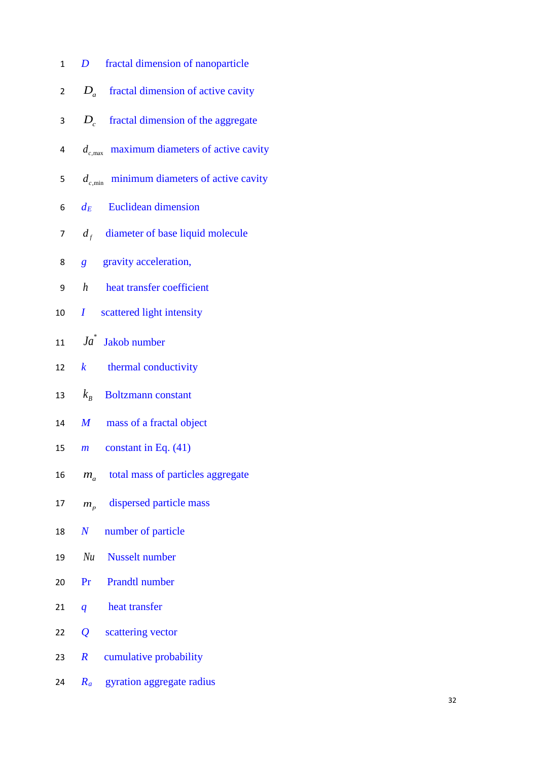| $\mathbf{1}$   | D fractal dimension of nanoparticle             |
|----------------|-------------------------------------------------|
| $\overline{2}$ | $D_a$ fractal dimension of active cavity        |
| 3              | $D_c$ fractal dimension of the aggregate        |
| 4              | $d_{c,max}$ maximum diameters of active cavity  |
| 5              | $d_{c,\min}$ minimum diameters of active cavity |
| 6              | $d_E$ Euclidean dimension                       |
| 7              | $d_f$ diameter of base liquid molecule          |
| 8              | <i>g</i> gravity acceleration,                  |
| 9              | h heat transfer coefficient                     |
| 10             | <i>I</i> scattered light intensity              |
| 11             | $Ja^*$ Jakob number                             |
| 12             | $k$ thermal conductivity                        |
|                | 13 $k_B$ Boltzmann constant                     |
| 14             | M mass of a fractal object                      |
|                | 15 <i>m</i> constant in Eq. $(41)$              |
| 16             | total mass of particles aggregate<br>$m_{a}$    |
| 17             | dispersed particle mass<br>$m_{p}$              |
| 18             | number of particle<br>$\bm{N}$                  |
| 19             | Nu<br><b>Nusselt</b> number                     |
| 20             | <b>Prandtl number</b><br>Pr                     |
| 21             | heat transfer<br>$\boldsymbol{q}$               |
| 22             | $\overline{\mathcal{Q}}$<br>scattering vector   |
| 23             | $\boldsymbol{R}$<br>cumulative probability      |
| 24             | gyration aggregate radius<br>$R_a$              |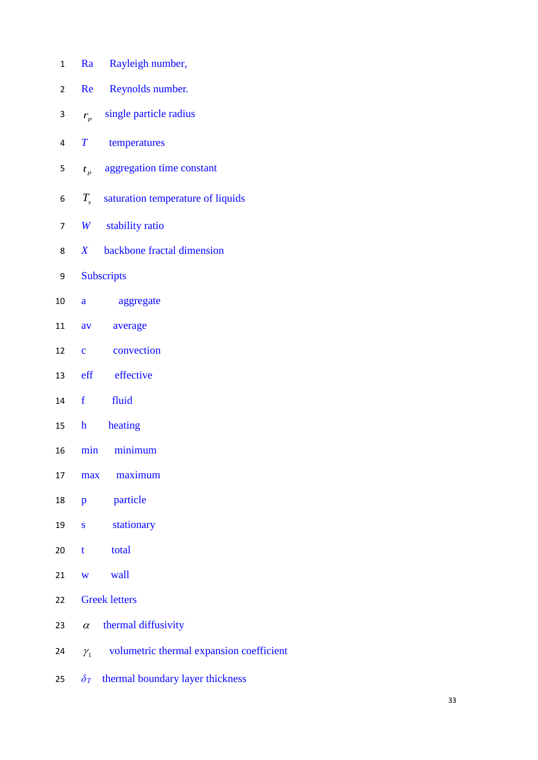| $\mathbf{1}$ | Rayleigh number,<br>Ra                                   |
|--------------|----------------------------------------------------------|
| 2            | Reynolds number.<br>Re                                   |
| 3            | single particle radius<br>$r_{p}$                        |
| 4            | $\pmb{T}$<br>temperatures                                |
| 5            | aggregation time constant<br>$t_{p}$                     |
| 6            | $T_s$ saturation temperature of liquids                  |
| 7            | W stability ratio                                        |
| 8            | backbone fractal dimension<br>X                          |
| 9            | <b>Subscripts</b>                                        |
| 10           | aggregate<br>a                                           |
| 11           | average<br>av                                            |
| 12           | convection<br>$\overline{c}$                             |
| 13           | eff effective                                            |
| 14           | f<br>fluid                                               |
| 15           | heating<br>h                                             |
| 16           | minimum<br>min                                           |
| 17           | maximum<br>max                                           |
| 18           | particle<br>p                                            |
| 19           | stationary<br>$\bf S$                                    |
| 20           | total<br>$\mathbf t$                                     |
| 21           | wall<br>W                                                |
| 22           | <b>Greek letters</b>                                     |
| 23           | thermal diffusivity<br>$\alpha$                          |
| 24           | volumetric thermal expansion coefficient<br>$\gamma_{1}$ |
| 25           | $\delta_T$ thermal boundary layer thickness              |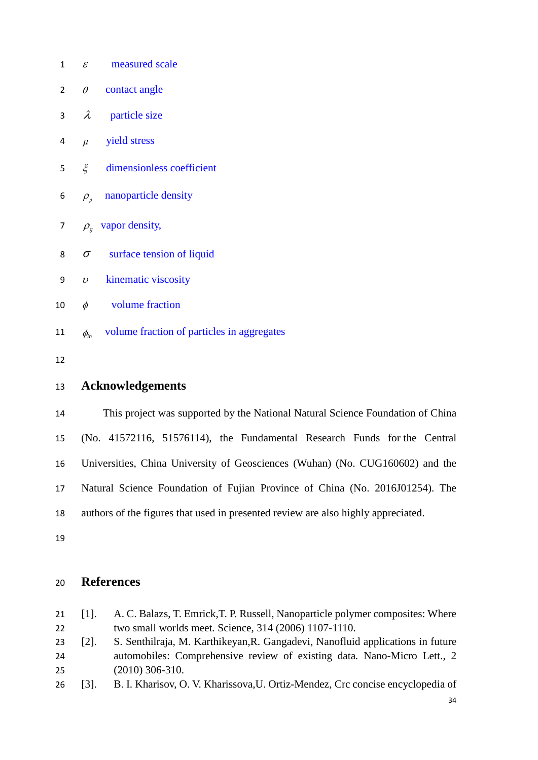| $\mathbf{1}$ |                            | $\epsilon$ measured scale                              |
|--------------|----------------------------|--------------------------------------------------------|
| 2            | $\theta$                   | contact angle                                          |
| 3            | $\lambda$                  | particle size                                          |
| 4            | $\mu$                      | <b>yield stress</b>                                    |
| 5            |                            | $\xi$ dimensionless coefficient                        |
| 6            |                            | $\rho_{\textit{n}}$ nanoparticle density               |
| 7            |                            | $\rho_{g}$ vapor density,                              |
| 8            | $\sigma$                   | surface tension of liquid                              |
| 9            | $\boldsymbol{\mathcal{U}}$ | kinematic viscosity                                    |
| 10           | $\phi$                     | volume fraction                                        |
| 11           |                            | $\phi_{in}$ volume fraction of particles in aggregates |
| 12           |                            |                                                        |
| 13           |                            | <b>Acknowledgements</b>                                |

 This project was supported by the National Natural Science Foundation of China (No. 41572116, 51576114), the Fundamental Research Funds for the Central Universities, China University of Geosciences (Wuhan) (No. CUG160602) and the Natural Science Foundation of Fujian Province of China (No. 2016J01254). The authors of the figures that used in presented review are also highly appreciated.

### <span id="page-33-0"></span>**References**

 [1]. A. C. Balazs, T. Emrick,T. P. Russell, Nanoparticle polymer composites: Where two small worlds meet*.* Science, 314 (2006) 1107-1110. [2]. S. Senthilraja, M. Karthikeyan,R. Gangadevi, Nanofluid applications in future automobiles: Comprehensive review of existing data*.* Nano-Micro Lett., 2 (2010) 306-310.

[3]. B. I. Kharisov, O. V. Kharissova,U. Ortiz-Mendez, Crc concise encyclopedia of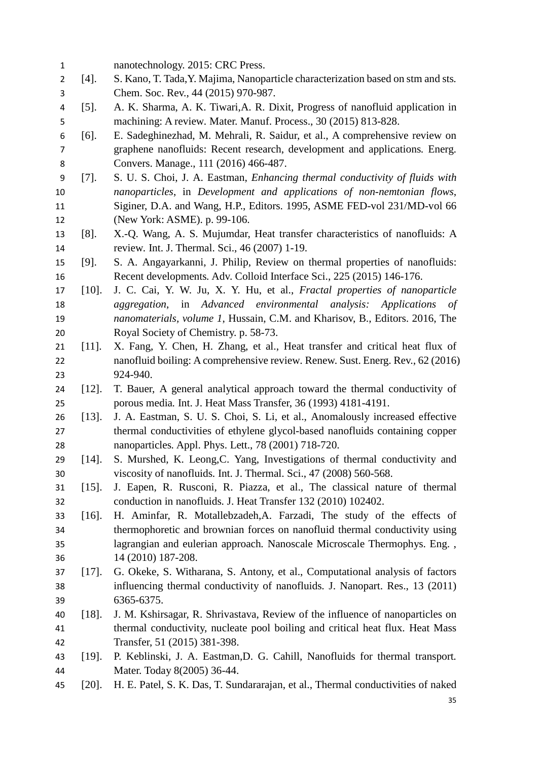| $\mathbf 1$    |          | nanotechnology. 2015: CRC Press.                                                 |
|----------------|----------|----------------------------------------------------------------------------------|
| $\overline{2}$ | $[4]$ .  | S. Kano, T. Tada, Y. Majima, Nanoparticle characterization based on stm and sts. |
| 3              |          | Chem. Soc. Rev., 44 (2015) 970-987.                                              |
| 4              | $[5]$ .  | A. K. Sharma, A. K. Tiwari, A. R. Dixit, Progress of nanofluid application in    |
| 5              |          | machining: A review. Mater. Manuf. Process., 30 (2015) 813-828.                  |
| 6              | $[6]$ .  | E. Sadeghinezhad, M. Mehrali, R. Saidur, et al., A comprehensive review on       |
| 7              |          | graphene nanofluids: Recent research, development and applications. Energ.       |
| 8              |          | Convers. Manage., 111 (2016) 466-487.                                            |
| 9              | $[7]$ .  | S. U. S. Choi, J. A. Eastman, Enhancing thermal conductivity of fluids with      |
| 10             |          | nanoparticles, in Development and applications of non-nemtonian flows,           |
| 11             |          | Siginer, D.A. and Wang, H.P., Editors. 1995, ASME FED-vol 231/MD-vol 66          |
| 12             |          | (New York: ASME). p. 99-106.                                                     |
| 13             | $[8]$ .  | X.-Q. Wang, A. S. Mujumdar, Heat transfer characteristics of nanofluids: A       |
| 14             |          | review. Int. J. Thermal. Sci., 46 (2007) 1-19.                                   |
| 15             | $[9]$ .  | S. A. Angayarkanni, J. Philip, Review on thermal properties of nanofluids:       |
| 16             |          | Recent developments. Adv. Colloid Interface Sci., 225 (2015) 146-176.            |
| 17             | $[10]$ . | J. C. Cai, Y. W. Ju, X. Y. Hu, et al., Fractal properties of nanoparticle        |
| 18             |          | aggregation, in Advanced environmental analysis:<br>Applications of              |
| 19             |          | nanomaterials, volume 1, Hussain, C.M. and Kharisov, B., Editors. 2016, The      |
| 20             |          | Royal Society of Chemistry. p. 58-73.                                            |
| 21             | $[11]$ . | X. Fang, Y. Chen, H. Zhang, et al., Heat transfer and critical heat flux of      |
| 22             |          | nanofluid boiling: A comprehensive review. Renew. Sust. Energ. Rev., 62 (2016)   |
| 23             |          | 924-940.                                                                         |
| 24             | $[12]$ . | T. Bauer, A general analytical approach toward the thermal conductivity of       |
| 25             |          | porous media. Int. J. Heat Mass Transfer, 36 (1993) 4181-4191.                   |
| 26             | $[13]$ . | J. A. Eastman, S. U. S. Choi, S. Li, et al., Anomalously increased effective     |
| 27             |          | thermal conductivities of ethylene glycol-based nanofluids containing copper     |
| 28             |          | nanoparticles. Appl. Phys. Lett., 78 (2001) 718-720.                             |
| 29             | $[14]$ . | S. Murshed, K. Leong, C. Yang, Investigations of thermal conductivity and        |
| 30             |          | viscosity of nanofluids. Int. J. Thermal. Sci., 47 (2008) 560-568.               |
| 31             | $[15]$ . | J. Eapen, R. Rusconi, R. Piazza, et al., The classical nature of thermal         |
| 32             |          | conduction in nanofluids. J. Heat Transfer 132 (2010) 102402.                    |
| 33             | $[16]$ . | H. Aminfar, R. Motallebzadeh, A. Farzadi, The study of the effects of            |
| 34             |          | thermophoretic and brownian forces on nanofluid thermal conductivity using       |
| 35             |          | lagrangian and eulerian approach. Nanoscale Microscale Thermophys. Eng.,         |
| 36             |          | 14 (2010) 187-208.                                                               |
| 37             | $[17]$ . | G. Okeke, S. Witharana, S. Antony, et al., Computational analysis of factors     |
| 38             |          | influencing thermal conductivity of nanofluids. J. Nanopart. Res., 13 (2011)     |
| 39             |          | 6365-6375.                                                                       |
| 40             | $[18]$ . | J. M. Kshirsagar, R. Shrivastava, Review of the influence of nanoparticles on    |
| 41             |          | thermal conductivity, nucleate pool boiling and critical heat flux. Heat Mass    |
| 42             |          | Transfer, 51 (2015) 381-398.                                                     |
| 43             | $[19]$ . | P. Keblinski, J. A. Eastman, D. G. Cahill, Nanofluids for thermal transport.     |
| 44             |          | Mater. Today 8(2005) 36-44.                                                      |
| 45             | $[20]$ . | H. E. Patel, S. K. Das, T. Sundararajan, et al., Thermal conductivities of naked |
|                |          |                                                                                  |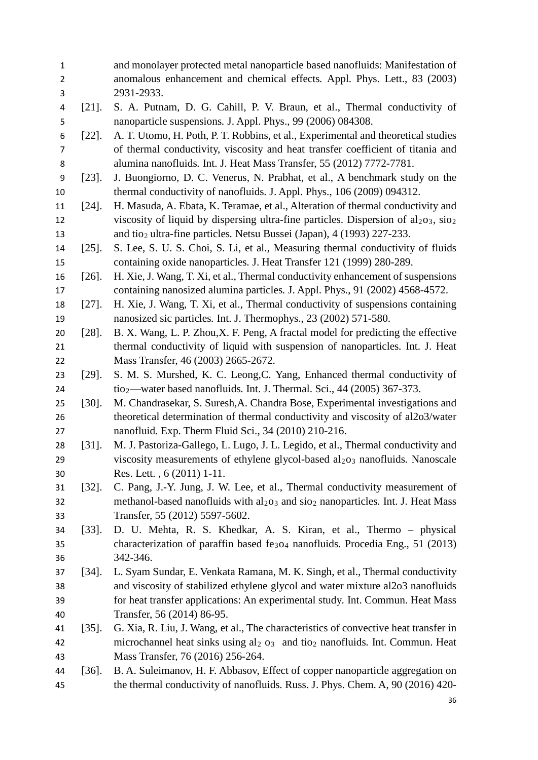| $\mathbf{1}$<br>2 |          | and monolayer protected metal nanoparticle based nanofluids: Manifestation of<br>anomalous enhancement and chemical effects. Appl. Phys. Lett., 83 (2003) |
|-------------------|----------|-----------------------------------------------------------------------------------------------------------------------------------------------------------|
| 3                 |          | 2931-2933.                                                                                                                                                |
| 4                 | $[21]$ . | S. A. Putnam, D. G. Cahill, P. V. Braun, et al., Thermal conductivity of                                                                                  |
| 5                 |          | nanoparticle suspensions. J. Appl. Phys., 99 (2006) 084308.                                                                                               |
| 6                 | $[22]$ . | A. T. Utomo, H. Poth, P. T. Robbins, et al., Experimental and theoretical studies                                                                         |
| 7                 |          | of thermal conductivity, viscosity and heat transfer coefficient of titania and                                                                           |
| 8                 |          | alumina nanofluids. Int. J. Heat Mass Transfer, 55 (2012) 7772-7781.                                                                                      |
| 9                 | $[23]$ . | J. Buongiorno, D. C. Venerus, N. Prabhat, et al., A benchmark study on the                                                                                |
| 10                |          | thermal conductivity of nanofluids. J. Appl. Phys., 106 (2009) 094312.                                                                                    |
| 11                | $[24]$ . | H. Masuda, A. Ebata, K. Teramae, et al., Alteration of thermal conductivity and                                                                           |
| 12                |          | viscosity of liquid by dispersing ultra-fine particles. Dispersion of $al_2o_3$ , $sio_2$                                                                 |
| 13                |          | and tio <sub>2</sub> ultra-fine particles. Netsu Bussei (Japan), 4 (1993) 227-233.                                                                        |
| 14                | $[25]$ . | S. Lee, S. U. S. Choi, S. Li, et al., Measuring thermal conductivity of fluids                                                                            |
| 15                |          | containing oxide nanoparticles. J. Heat Transfer 121 (1999) 280-289.                                                                                      |
| 16                | $[26]$ . | H. Xie, J. Wang, T. Xi, et al., Thermal conductivity enhancement of suspensions                                                                           |
| 17                |          | containing nanosized alumina particles. J. Appl. Phys., 91 (2002) 4568-4572.                                                                              |
| 18                | $[27]$ . | H. Xie, J. Wang, T. Xi, et al., Thermal conductivity of suspensions containing                                                                            |
| 19                |          | nanosized sic particles. Int. J. Thermophys., 23 (2002) 571-580.                                                                                          |
| 20                | $[28]$ . | B. X. Wang, L. P. Zhou, X. F. Peng, A fractal model for predicting the effective                                                                          |
| 21                |          | thermal conductivity of liquid with suspension of nanoparticles. Int. J. Heat                                                                             |
| 22                |          | Mass Transfer, 46 (2003) 2665-2672.                                                                                                                       |
| 23                | $[29]$ . | S. M. S. Murshed, K. C. Leong, C. Yang, Enhanced thermal conductivity of                                                                                  |
| 24                |          | $\text{tio}_2$ —water based nanofluids. Int. J. Thermal. Sci., 44 (2005) 367-373.                                                                         |
| 25                | $[30]$ . | M. Chandrasekar, S. Suresh, A. Chandra Bose, Experimental investigations and                                                                              |
| 26                |          | theoretical determination of thermal conductivity and viscosity of al2o3/water                                                                            |
| 27                |          | nanofluid. Exp. Therm Fluid Sci., 34 (2010) 210-216.                                                                                                      |
| 28                | $[31]$ . | M. J. Pastoriza-Gallego, L. Lugo, J. L. Legido, et al., Thermal conductivity and                                                                          |
| 29                |          | viscosity measurements of ethylene glycol-based al <sub>203</sub> nanofluids. Nanoscale                                                                   |
| 30                |          | Res. Lett., 6 (2011) 1-11.                                                                                                                                |
| 31                | $[32]$ . | C. Pang, J.-Y. Jung, J. W. Lee, et al., Thermal conductivity measurement of                                                                               |
| 32                |          | methanol-based nanofluids with $al2O3$ and $siO2$ nanoparticles. Int. J. Heat Mass                                                                        |
| 33                |          | Transfer, 55 (2012) 5597-5602.                                                                                                                            |
| 34                | $[33]$ . | D. U. Mehta, R. S. Khedkar, A. S. Kiran, et al., Thermo – physical                                                                                        |
| 35                |          | characterization of paraffin based fe <sub>304</sub> nanofluids. Procedia Eng., 51 (2013)                                                                 |
| 36                |          | 342-346.                                                                                                                                                  |
| 37                | $[34]$ . | L. Syam Sundar, E. Venkata Ramana, M. K. Singh, et al., Thermal conductivity                                                                              |
| 38                |          | and viscosity of stabilized ethylene glycol and water mixture al2o3 nanofluids                                                                            |
| 39                |          | for heat transfer applications: An experimental study. Int. Commun. Heat Mass                                                                             |
| 40                |          | Transfer, 56 (2014) 86-95.                                                                                                                                |
| 41                | $[35]$ . | G. Xia, R. Liu, J. Wang, et al., The characteristics of convective heat transfer in                                                                       |
| 42                |          | microchannel heat sinks using $al_2$ $o_3$ and tio <sub>2</sub> nanofluids. Int. Commun. Heat                                                             |
| 43                |          | Mass Transfer, 76 (2016) 256-264.                                                                                                                         |
| 44                | $[36]$ . | B. A. Suleimanov, H. F. Abbasov, Effect of copper nanoparticle aggregation on                                                                             |
| 45                |          | the thermal conductivity of nanofluids. Russ. J. Phys. Chem. A, 90 (2016) 420-                                                                            |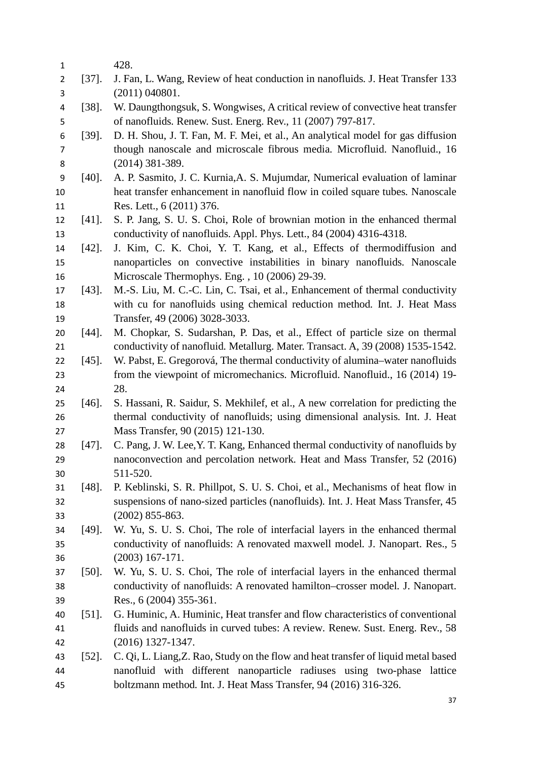| 1              |          | 428.                                                                               |
|----------------|----------|------------------------------------------------------------------------------------|
| $\overline{2}$ | $[37]$ . | J. Fan, L. Wang, Review of heat conduction in nanofluids. J. Heat Transfer 133     |
| 3              |          | (2011) 040801.                                                                     |
| 4              | $[38]$ . | W. Daungthongsuk, S. Wongwises, A critical review of convective heat transfer      |
| 5              |          | of nanofluids. Renew. Sust. Energ. Rev., 11 (2007) 797-817.                        |
| 6              | $[39]$ . | D. H. Shou, J. T. Fan, M. F. Mei, et al., An analytical model for gas diffusion    |
| $\overline{7}$ |          | though nanoscale and microscale fibrous media. Microfluid. Nanofluid., 16          |
| 8              |          | (2014) 381-389.                                                                    |
| 9              | $[40]$ . | A. P. Sasmito, J. C. Kurnia, A. S. Mujumdar, Numerical evaluation of laminar       |
| 10             |          | heat transfer enhancement in nanofluid flow in coiled square tubes. Nanoscale      |
| 11             |          | Res. Lett., 6 (2011) 376.                                                          |
| 12             | $[41]$ . | S. P. Jang, S. U. S. Choi, Role of brownian motion in the enhanced thermal         |
| 13             |          | conductivity of nanofluids. Appl. Phys. Lett., 84 (2004) 4316-4318.                |
| 14             | $[42]$ . | J. Kim, C. K. Choi, Y. T. Kang, et al., Effects of thermodiffusion and             |
| 15             |          | nanoparticles on convective instabilities in binary nanofluids. Nanoscale          |
| 16             |          | Microscale Thermophys. Eng., 10 (2006) 29-39.                                      |
| 17             | $[43]$ . | M.-S. Liu, M. C.-C. Lin, C. Tsai, et al., Enhancement of thermal conductivity      |
| 18             |          | with cu for nanofluids using chemical reduction method. Int. J. Heat Mass          |
| 19             |          | Transfer, 49 (2006) 3028-3033.                                                     |
| 20             | $[44]$ . | M. Chopkar, S. Sudarshan, P. Das, et al., Effect of particle size on thermal       |
| 21             |          | conductivity of nanofluid. Metallurg. Mater. Transact. A, 39 (2008) 1535-1542.     |
| 22             | $[45]$ . | W. Pabst, E. Gregorová, The thermal conductivity of alumina–water nanofluids       |
| 23             |          | from the viewpoint of micromechanics. Microfluid. Nanofluid., 16 (2014) 19-        |
| 24             |          | 28.                                                                                |
| 25             | $[46]$ . | S. Hassani, R. Saidur, S. Mekhilef, et al., A new correlation for predicting the   |
| 26             |          | thermal conductivity of nanofluids; using dimensional analysis. Int. J. Heat       |
| 27             |          | Mass Transfer, 90 (2015) 121-130.                                                  |
| 28             | $[47]$ . | C. Pang, J. W. Lee, Y. T. Kang, Enhanced thermal conductivity of nanofluids by     |
| 29             |          | nanoconvection and percolation network. Heat and Mass Transfer, 52 (2016)          |
| 30             |          | 511-520.                                                                           |
| 31             | $[48]$ . | P. Keblinski, S. R. Phillpot, S. U. S. Choi, et al., Mechanisms of heat flow in    |
| 32             |          | suspensions of nano-sized particles (nanofluids). Int. J. Heat Mass Transfer, 45   |
| 33             |          | $(2002)$ 855-863.                                                                  |
| 34             | $[49]$ . | W. Yu, S. U. S. Choi, The role of interfacial layers in the enhanced thermal       |
| 35             |          | conductivity of nanofluids: A renovated maxwell model. J. Nanopart. Res., 5        |
| 36             |          | $(2003)$ 167-171.                                                                  |
| 37             | $[50]$ . | W. Yu, S. U. S. Choi, The role of interfacial layers in the enhanced thermal       |
| 38             |          | conductivity of nanofluids: A renovated hamilton–crosser model. J. Nanopart.       |
| 39             |          | Res., 6 (2004) 355-361.                                                            |
| 40             | $[51]$ . | G. Huminic, A. Huminic, Heat transfer and flow characteristics of conventional     |
| 41             |          | fluids and nanofluids in curved tubes: A review. Renew. Sust. Energ. Rev., 58      |
| 42             |          | $(2016)$ 1327-1347.                                                                |
| 43             | $[52]$ . | C. Qi, L. Liang, Z. Rao, Study on the flow and heat transfer of liquid metal based |
| 44             |          | nanofluid with different nanoparticle radiuses using two-phase lattice             |
| 45             |          | boltzmann method. Int. J. Heat Mass Transfer, 94 (2016) 316-326.                   |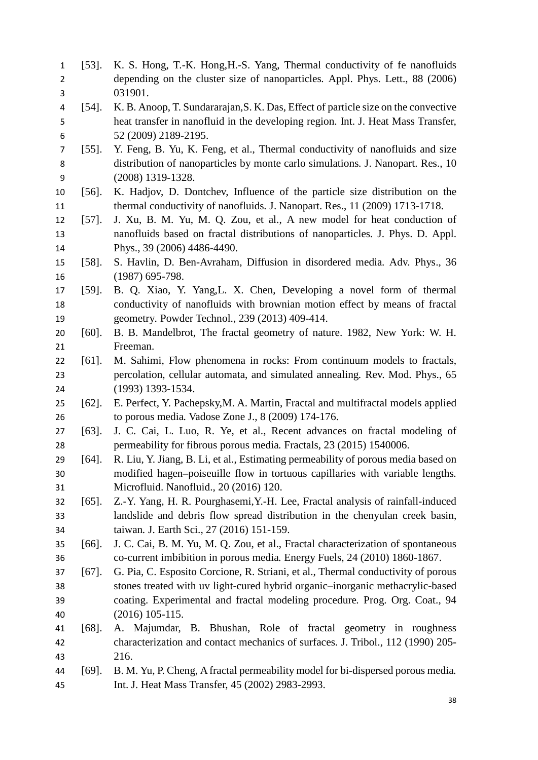| $\mathbf{1}$   | $[53]$ . | K. S. Hong, T.-K. Hong, H.-S. Yang, Thermal conductivity of fe nanofluids          |
|----------------|----------|------------------------------------------------------------------------------------|
| $\overline{2}$ |          | depending on the cluster size of nanoparticles. Appl. Phys. Lett., 88 (2006)       |
| 3              |          | 031901.                                                                            |
| 4              | $[54]$ . | K. B. Anoop, T. Sundararajan, S. K. Das, Effect of particle size on the convective |
| 5              |          | heat transfer in nanofluid in the developing region. Int. J. Heat Mass Transfer,   |
| 6              |          | 52 (2009) 2189-2195.                                                               |
| 7              | $[55]$ . | Y. Feng, B. Yu, K. Feng, et al., Thermal conductivity of nanofluids and size       |
| 8              |          | distribution of nanoparticles by monte carlo simulations. J. Nanopart. Res., 10    |
| 9              |          | (2008) 1319-1328.                                                                  |
| 10             | $[56]$ . | K. Hadjov, D. Dontchev, Influence of the particle size distribution on the         |
| 11             |          | thermal conductivity of nanofluids. J. Nanopart. Res., 11 (2009) 1713-1718.        |
| 12             | $[57]$ . | J. Xu, B. M. Yu, M. Q. Zou, et al., A new model for heat conduction of             |
| 13             |          | nanofluids based on fractal distributions of nanoparticles. J. Phys. D. Appl.      |
| 14             |          | Phys., 39 (2006) 4486-4490.                                                        |
| 15             | $[58]$ . | S. Havlin, D. Ben-Avraham, Diffusion in disordered media. Adv. Phys., 36           |
| 16             |          | $(1987)$ 695-798.                                                                  |
| 17             | $[59]$ . | B. Q. Xiao, Y. Yang, L. X. Chen, Developing a novel form of thermal                |
| 18             |          | conductivity of nanofluids with brownian motion effect by means of fractal         |
| 19             |          | geometry. Powder Technol., 239 (2013) 409-414.                                     |
| 20             | $[60]$ . | B. B. Mandelbrot, The fractal geometry of nature. 1982, New York: W. H.            |
| 21             |          | Freeman.                                                                           |
| 22             | $[61]$ . | M. Sahimi, Flow phenomena in rocks: From continuum models to fractals,             |
| 23             |          | percolation, cellular automata, and simulated annealing. Rev. Mod. Phys., 65       |
| 24             |          | $(1993)$ 1393-1534.                                                                |
| 25             | $[62]$ . | E. Perfect, Y. Pachepsky, M. A. Martin, Fractal and multifractal models applied    |
| 26             |          | to porous media. Vadose Zone J., 8 (2009) 174-176.                                 |
| 27             | $[63]$ . | J. C. Cai, L. Luo, R. Ye, et al., Recent advances on fractal modeling of           |
| 28             |          | permeability for fibrous porous media. Fractals, 23 (2015) 1540006.                |
| 29             | $[64]$ . | R. Liu, Y. Jiang, B. Li, et al., Estimating permeability of porous media based on  |
| 30             |          | modified hagen-poiseuille flow in tortuous capillaries with variable lengths.      |
| 31             |          | Microfluid. Nanofluid., 20 (2016) 120.                                             |
| 32             | $[65]$ . | Z.-Y. Yang, H. R. Pourghasemi, Y.-H. Lee, Fractal analysis of rainfall-induced     |
| 33             |          | landslide and debris flow spread distribution in the chenyulan creek basin,        |
| 34             |          | taiwan. J. Earth Sci., 27 (2016) 151-159.                                          |
| 35             | $[66]$ . | J. C. Cai, B. M. Yu, M. Q. Zou, et al., Fractal characterization of spontaneous    |
| 36             |          | co-current imbibition in porous media. Energy Fuels, 24 (2010) 1860-1867.          |
| 37             | $[67]$ . | G. Pia, C. Esposito Corcione, R. Striani, et al., Thermal conductivity of porous   |
| 38             |          | stones treated with uv light-cured hybrid organic-inorganic methacrylic-based      |
| 39             |          | coating. Experimental and fractal modeling procedure. Prog. Org. Coat., 94         |
| 40             |          | $(2016)$ 105-115.                                                                  |
| 41             | $[68]$ . | A. Majumdar, B. Bhushan, Role of fractal geometry in roughness                     |
| 42             |          | characterization and contact mechanics of surfaces. J. Tribol., 112 (1990) 205-    |
| 43             |          | 216.                                                                               |
| 44             | $[69]$ . | B. M. Yu, P. Cheng, A fractal permeability model for bi-dispersed porous media.    |
| 45             |          | Int. J. Heat Mass Transfer, 45 (2002) 2983-2993.                                   |
|                |          |                                                                                    |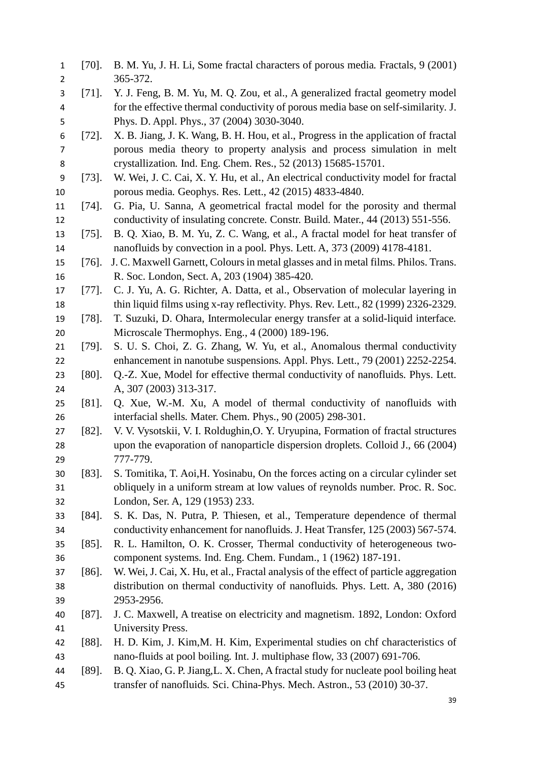[70]. B. M. Yu, J. H. Li, Some fractal characters of porous media*.* Fractals, 9 (2001) 365-372. [71]. Y. J. Feng, B. M. Yu, M. Q. Zou, et al., A generalized fractal geometry model for the effective thermal conductivity of porous media base on self-similarity*.* J. Phys. D. Appl. Phys., 37 (2004) 3030-3040. [72]. X. B. Jiang, J. K. Wang, B. H. Hou, et al., Progress in the application of fractal porous media theory to property analysis and process simulation in melt crystallization*.* Ind. Eng. Chem. Res., 52 (2013) 15685-15701. [73]. W. Wei, J. C. Cai, X. Y. Hu, et al., An electrical conductivity model for fractal porous media*.* Geophys. Res. Lett., 42 (2015) 4833-4840. [74]. G. Pia, U. Sanna, A geometrical fractal model for the porosity and thermal conductivity of insulating concrete*.* Constr. Build. Mater., 44 (2013) 551-556. [75]. B. Q. Xiao, B. M. Yu, Z. C. Wang, et al., A fractal model for heat transfer of nanofluids by convection in a pool*.* Phys. Lett. A, 373 (2009) 4178-4181. [76]. J. C. Maxwell Garnett, Colours in metal glasses and in metal films*.* Philos. Trans. R. Soc. London, Sect. A, 203 (1904) 385-420. [77]. C. J. Yu, A. G. Richter, A. Datta, et al., Observation of molecular layering in thin liquid films using x-ray reflectivity*.* Phys. Rev. Lett., 82 (1999) 2326-2329. [78]. T. Suzuki, D. Ohara, Intermolecular energy transfer at a solid-liquid interface*.* Microscale Thermophys. Eng., 4 (2000) 189-196. [79]. S. U. S. Choi, Z. G. Zhang, W. Yu, et al., Anomalous thermal conductivity enhancement in nanotube suspensions*.* Appl. Phys. Lett., 79 (2001) 2252-2254. [80]. Q.-Z. Xue, Model for effective thermal conductivity of nanofluids*.* Phys. Lett. A, 307 (2003) 313-317. [81]. Q. Xue, W.-M. Xu, A model of thermal conductivity of nanofluids with interfacial shells*.* Mater. Chem. Phys., 90 (2005) 298-301. [82]. V. V. Vysotskii, V. I. Roldughin,O. Y. Uryupina, Formation of fractal structures upon the evaporation of nanoparticle dispersion droplets*.* Colloid J., 66 (2004) 777-779. [83]. S. Tomitika, T. Aoi,H. Yosinabu, On the forces acting on a circular cylinder set obliquely in a uniform stream at low values of reynolds number*.* Proc. R. Soc. London, Ser. A, 129 (1953) 233. [84]. S. K. Das, N. Putra, P. Thiesen, et al., Temperature dependence of thermal conductivity enhancement for nanofluids*.* J. Heat Transfer, 125 (2003) 567-574. [85]. R. L. Hamilton, O. K. Crosser, Thermal conductivity of heterogeneous two- component systems*.* Ind. Eng. Chem. Fundam., 1 (1962) 187-191. [86]. W. Wei, J. Cai, X. Hu, et al., Fractal analysis of the effect of particle aggregation distribution on thermal conductivity of nanofluids*.* Phys. Lett. A, 380 (2016) 2953-2956. [87]. J. C. Maxwell, A treatise on electricity and magnetism. 1892, London: Oxford University Press. [88]. H. D. Kim, J. Kim,M. H. Kim, Experimental studies on chf characteristics of nano-fluids at pool boiling*.* Int. J. multiphase flow, 33 (2007) 691-706. [89]. B. Q. Xiao, G. P. Jiang,L. X. Chen, A fractal study for nucleate pool boiling heat transfer of nanofluids*.* Sci. China-Phys. Mech. Astron., 53 (2010) 30-37.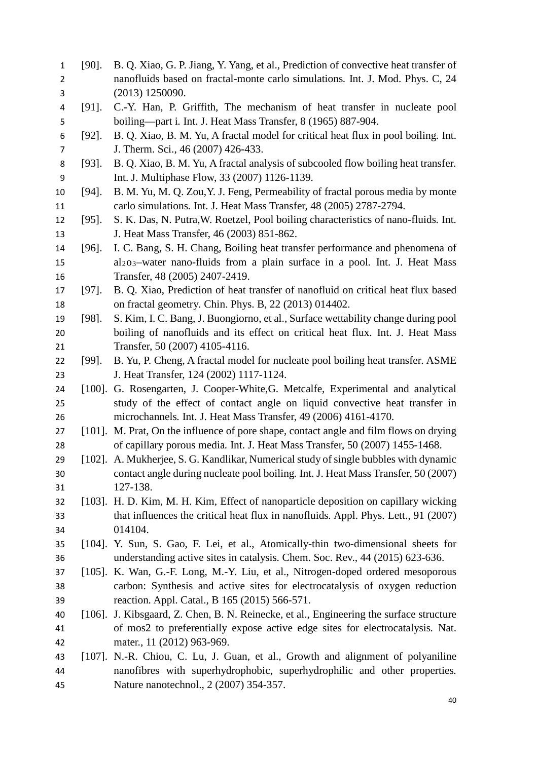[90]. B. Q. Xiao, G. P. Jiang, Y. Yang, et al., Prediction of convective heat transfer of nanofluids based on fractal-monte carlo simulations*.* Int. J. Mod. Phys. C, 24 (2013) 1250090. [91]. C.-Y. Han, P. Griffith, The mechanism of heat transfer in nucleate pool boiling—part i*.* Int. J. Heat Mass Transfer, 8 (1965) 887-904. [92]. B. Q. Xiao, B. M. Yu, A fractal model for critical heat flux in pool boiling*.* Int. 7 J. Therm. Sci., 46 (2007) 426-433. [93]. B. Q. Xiao, B. M. Yu, A fractal analysis of subcooled flow boiling heat transfer*.* Int. J. Multiphase Flow, 33 (2007) 1126-1139. [94]. B. M. Yu, M. Q. Zou,Y. J. Feng, Permeability of fractal porous media by monte carlo simulations*.* Int. J. Heat Mass Transfer, 48 (2005) 2787-2794. [95]. S. K. Das, N. Putra,W. Roetzel, Pool boiling characteristics of nano-fluids*.* Int. J. Heat Mass Transfer, 46 (2003) 851-862. [96]. I. C. Bang, S. H. Chang, Boiling heat transfer performance and phenomena of al2o3–water nano-fluids from a plain surface in a pool*.* Int. J. Heat Mass Transfer, 48 (2005) 2407-2419. [97]. B. Q. Xiao, Prediction of heat transfer of nanofluid on critical heat flux based on fractal geometry*.* Chin. Phys. B, 22 (2013) 014402. [98]. S. Kim, I. C. Bang, J. Buongiorno, et al., Surface wettability change during pool boiling of nanofluids and its effect on critical heat flux*.* Int. J. Heat Mass Transfer, 50 (2007) 4105-4116. [99]. B. Yu, P. Cheng, A fractal model for nucleate pool boiling heat transfer*.* ASME J. Heat Transfer, 124 (2002) 1117-1124. [100]. G. Rosengarten, J. Cooper-White,G. Metcalfe, Experimental and analytical study of the effect of contact angle on liquid convective heat transfer in microchannels*.* Int. J. Heat Mass Transfer, 49 (2006) 4161-4170. [101]. M. Prat, On the influence of pore shape, contact angle and film flows on drying of capillary porous media*.* Int. J. Heat Mass Transfer, 50 (2007) 1455-1468. [102]. A. Mukherjee, S. G. Kandlikar, Numerical study of single bubbles with dynamic contact angle during nucleate pool boiling*.* Int. J. Heat Mass Transfer, 50 (2007) 127-138. [103]. H. D. Kim, M. H. Kim, Effect of nanoparticle deposition on capillary wicking that influences the critical heat flux in nanofluids*.* Appl. Phys. Lett., 91 (2007) 014104. [104]. Y. Sun, S. Gao, F. Lei, et al., Atomically-thin two-dimensional sheets for understanding active sites in catalysis*.* Chem. Soc. Rev., 44 (2015) 623-636. [105]. K. Wan, G.-F. Long, M.-Y. Liu, et al., Nitrogen-doped ordered mesoporous carbon: Synthesis and active sites for electrocatalysis of oxygen reduction reaction*.* Appl. Catal., B 165 (2015) 566-571. [106]. J. Kibsgaard, Z. Chen, B. N. Reinecke, et al., Engineering the surface structure of mos2 to preferentially expose active edge sites for electrocatalysis*.* Nat. mater., 11 (2012) 963-969. [107]. N.-R. Chiou, C. Lu, J. Guan, et al., Growth and alignment of polyaniline nanofibres with superhydrophobic, superhydrophilic and other properties*.* Nature nanotechnol., 2 (2007) 354-357.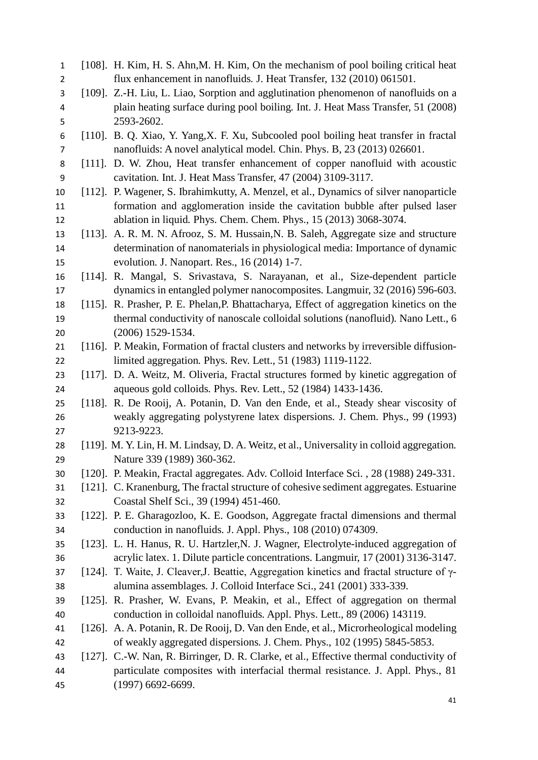| $\mathbf{1}$   |           | [108]. H. Kim, H. S. Ahn, M. H. Kim, On the mechanism of pool boiling critical heat        |
|----------------|-----------|--------------------------------------------------------------------------------------------|
| $\overline{2}$ |           | flux enhancement in nanofluids. J. Heat Transfer, 132 (2010) 061501.                       |
| 3              |           | [109]. Z.-H. Liu, L. Liao, Sorption and agglutination phenomenon of nanofluids on a        |
| 4              |           | plain heating surface during pool boiling. Int. J. Heat Mass Transfer, 51 (2008)           |
| 5              |           | 2593-2602.                                                                                 |
| 6              |           | [110]. B. Q. Xiao, Y. Yang, X. F. Xu, Subcooled pool boiling heat transfer in fractal      |
| $\overline{7}$ |           | nanofluids: A novel analytical model. Chin. Phys. B, 23 (2013) 026601.                     |
| 8              | $[111]$ . | D. W. Zhou, Heat transfer enhancement of copper nanofluid with acoustic                    |
| 9              |           | cavitation. Int. J. Heat Mass Transfer, 47 (2004) 3109-3117.                               |
| 10             |           | [112]. P. Wagener, S. Ibrahimkutty, A. Menzel, et al., Dynamics of silver nanoparticle     |
| 11             |           | formation and agglomeration inside the cavitation bubble after pulsed laser                |
| 12             |           | ablation in liquid. Phys. Chem. Chem. Phys., 15 (2013) 3068-3074.                          |
| 13             |           | [113]. A. R. M. N. Afrooz, S. M. Hussain, N. B. Saleh, Aggregate size and structure        |
| 14             |           | determination of nanomaterials in physiological media: Importance of dynamic               |
| 15             |           | evolution. J. Nanopart. Res., 16 (2014) 1-7.                                               |
| 16             |           | [114]. R. Mangal, S. Srivastava, S. Narayanan, et al., Size-dependent particle             |
| 17             |           | dynamics in entangled polymer nanocomposites. Langmuir, 32 (2016) 596-603.                 |
| 18             |           | [115]. R. Prasher, P. E. Phelan, P. Bhattacharya, Effect of aggregation kinetics on the    |
| 19             |           | thermal conductivity of nanoscale colloidal solutions (nanofluid). Nano Lett., 6           |
| 20             |           | $(2006)$ 1529-1534.                                                                        |
| 21             |           | [116]. P. Meakin, Formation of fractal clusters and networks by irreversible diffusion-    |
| 22             |           | limited aggregation. Phys. Rev. Lett., 51 (1983) 1119-1122.                                |
| 23             |           | [117]. D. A. Weitz, M. Oliveria, Fractal structures formed by kinetic aggregation of       |
| 24             |           | aqueous gold colloids. Phys. Rev. Lett., 52 (1984) 1433-1436.                              |
| 25             |           | [118]. R. De Rooij, A. Potanin, D. Van den Ende, et al., Steady shear viscosity of         |
| 26             |           | weakly aggregating polystyrene latex dispersions. J. Chem. Phys., 99 (1993)                |
| 27             |           | 9213-9223.                                                                                 |
| 28             |           | [119]. M. Y. Lin, H. M. Lindsay, D. A. Weitz, et al., Universality in colloid aggregation. |
| 29             |           | Nature 339 (1989) 360-362.                                                                 |
| 30             |           | [120]. P. Meakin, Fractal aggregates. Adv. Colloid Interface Sci., 28 (1988) 249-331.      |
| 31             |           | [121]. C. Kranenburg, The fractal structure of cohesive sediment aggregates. Estuarine     |
| 32             |           | Coastal Shelf Sci., 39 (1994) 451-460.                                                     |
| 33             |           | [122]. P. E. Gharagozloo, K. E. Goodson, Aggregate fractal dimensions and thermal          |
| 34             |           | conduction in nanofluids. J. Appl. Phys., 108 (2010) 074309.                               |
| 35             |           | [123]. L. H. Hanus, R. U. Hartzler, N. J. Wagner, Electrolyte-induced aggregation of       |
| 36             |           | acrylic latex. 1. Dilute particle concentrations. Langmuir, 17 (2001) 3136-3147.           |
| 37             |           | [124]. T. Waite, J. Cleaver, J. Beattie, Aggregation kinetics and fractal structure of y-  |
| 38             |           | alumina assemblages. J. Colloid Interface Sci., 241 (2001) 333-339.                        |
| 39             |           | [125]. R. Prasher, W. Evans, P. Meakin, et al., Effect of aggregation on thermal           |
| 40             |           | conduction in colloidal nanofluids. Appl. Phys. Lett., 89 (2006) 143119.                   |
| 41             |           | [126]. A. A. Potanin, R. De Rooij, D. Van den Ende, et al., Microrheological modeling      |
| 42             |           | of weakly aggregated dispersions. J. Chem. Phys., 102 (1995) 5845-5853.                    |
| 43             |           | [127]. C.-W. Nan, R. Birringer, D. R. Clarke, et al., Effective thermal conductivity of    |
| 44             |           | particulate composites with interfacial thermal resistance. J. Appl. Phys., 81             |
| 45             |           | $(1997)$ 6692-6699.                                                                        |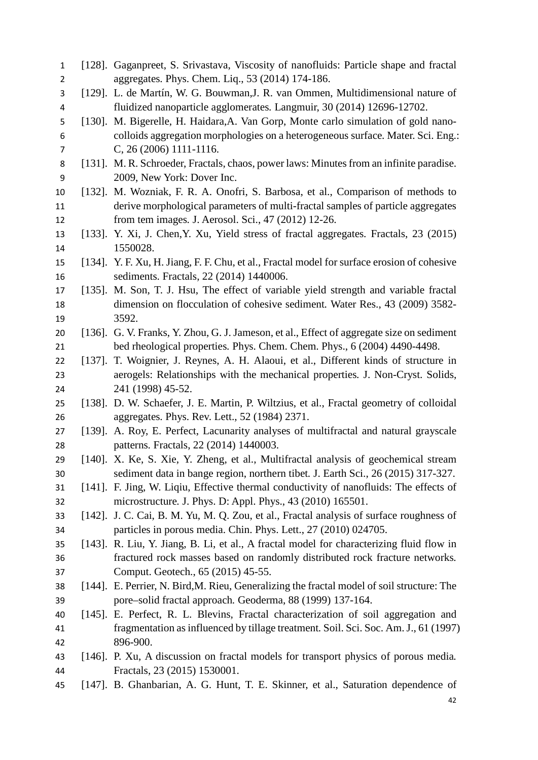[128]. Gaganpreet, S. Srivastava, Viscosity of nanofluids: Particle shape and fractal aggregates*.* Phys. Chem. Liq., 53 (2014) 174-186. [129]. L. de Martín, W. G. Bouwman,J. R. van Ommen, Multidimensional nature of fluidized nanoparticle agglomerates*.* Langmuir, 30 (2014) 12696-12702. [130]. M. Bigerelle, H. Haidara,A. Van Gorp, Monte carlo simulation of gold nano- colloids aggregation morphologies on a heterogeneous surface*.* Mater. Sci. Eng.: C, 26 (2006) 1111-1116. [131]. M. R. Schroeder, Fractals, chaos, power laws: Minutes from an infinite paradise. 2009, New York: Dover Inc. [132]. M. Wozniak, F. R. A. Onofri, S. Barbosa, et al., Comparison of methods to derive morphological parameters of multi-fractal samples of particle aggregates from tem images*.* J. Aerosol. Sci., 47 (2012) 12-26. [133]. Y. Xi, J. Chen,Y. Xu, Yield stress of fractal aggregates*.* Fractals, 23 (2015) 1550028. [134]. Y. F. Xu, H. Jiang, F. F. Chu, et al., Fractal model for surface erosion of cohesive sediments*.* Fractals, 22 (2014) 1440006. [135]. M. Son, T. J. Hsu, The effect of variable yield strength and variable fractal dimension on flocculation of cohesive sediment*.* Water Res., 43 (2009) 3582- 3592. [136]. G. V. Franks, Y. Zhou, G. J. Jameson, et al., Effect of aggregate size on sediment bed rheological properties*.* Phys. Chem. Chem. Phys., 6 (2004) 4490-4498. [137]. T. Woignier, J. Reynes, A. H. Alaoui, et al., Different kinds of structure in aerogels: Relationships with the mechanical properties*.* J. Non-Cryst. Solids, 241 (1998) 45-52. [138]. D. W. Schaefer, J. E. Martin, P. Wiltzius, et al., Fractal geometry of colloidal aggregates*.* Phys. Rev. Lett., 52 (1984) 2371. [139]. A. Roy, E. Perfect, Lacunarity analyses of multifractal and natural grayscale patterns*.* Fractals, 22 (2014) 1440003. [140]. X. Ke, S. Xie, Y. Zheng, et al., Multifractal analysis of geochemical stream sediment data in bange region, northern tibet*.* J. Earth Sci., 26 (2015) 317-327. [141]. F. Jing, W. Liqiu, Effective thermal conductivity of nanofluids: The effects of microstructure*.* J. Phys. D: Appl. Phys., 43 (2010) 165501. [142]. J. C. Cai, B. M. Yu, M. Q. Zou, et al., Fractal analysis of surface roughness of particles in porous media. Chin. Phys. Lett., 27 (2010) 024705. [143]. R. Liu, Y. Jiang, B. Li, et al., A fractal model for characterizing fluid flow in fractured rock masses based on randomly distributed rock fracture networks*.* Comput. Geotech., 65 (2015) 45-55. [144]. E. Perrier, N. Bird,M. Rieu, Generalizing the fractal model of soil structure: The pore–solid fractal approach*.* Geoderma, 88 (1999) 137-164. [145]. E. Perfect, R. L. Blevins, Fractal characterization of soil aggregation and fragmentation as influenced by tillage treatment*.* Soil. Sci. Soc. Am. J., 61 (1997) 896-900. [146]. P. Xu, A discussion on fractal models for transport physics of porous media*.* Fractals, 23 (2015) 1530001. [147]. B. Ghanbarian, A. G. Hunt, T. E. Skinner, et al., Saturation dependence of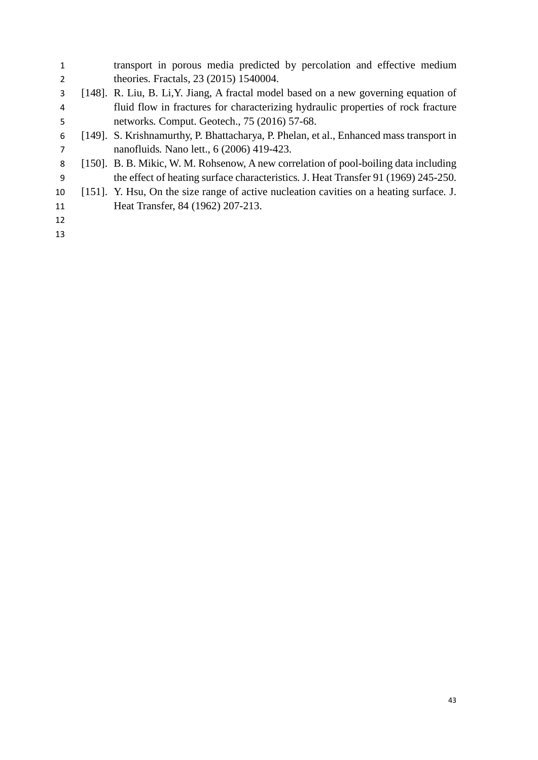| 1  | transport in porous media predicted by percolation and effective medium                 |
|----|-----------------------------------------------------------------------------------------|
| 2  | theories. Fractals, 23 (2015) 1540004.                                                  |
| 3  | [148]. R. Liu, B. Li, Y. Jiang, A fractal model based on a new governing equation of    |
| 4  | fluid flow in fractures for characterizing hydraulic properties of rock fracture        |
| 5  | networks. Comput. Geotech., 75 (2016) 57-68.                                            |
| 6  | [149]. S. Krishnamurthy, P. Bhattacharya, P. Phelan, et al., Enhanced mass transport in |
| 7  | nanofluids. Nano lett., 6 (2006) 419-423.                                               |
| 8  | [150]. B. B. Mikic, W. M. Rohsenow, A new correlation of pool-boiling data including    |
| 9  | the effect of heating surface characteristics. J. Heat Transfer 91 (1969) 245-250.      |
| 10 | [151]. Y. Hsu, On the size range of active nucleation cavities on a heating surface. J. |
| 11 | Heat Transfer, 84 (1962) 207-213.                                                       |
| 12 |                                                                                         |
| 13 |                                                                                         |
|    |                                                                                         |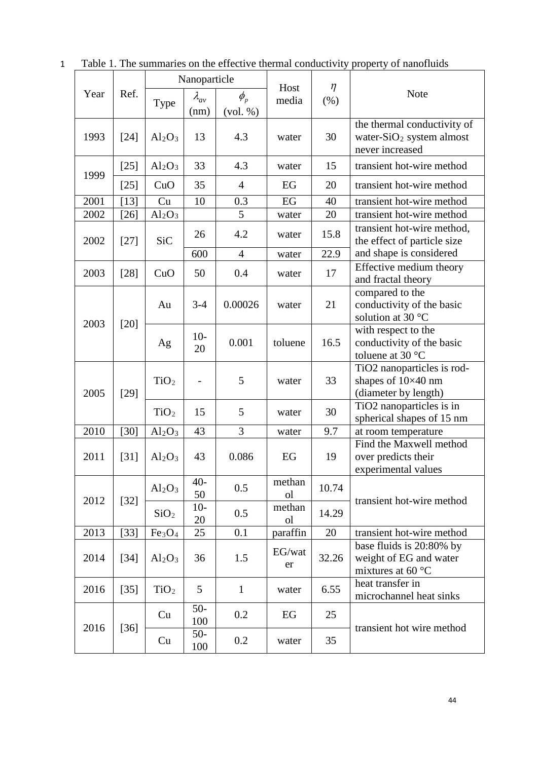|      |        | Nanoparticle                   |                |                             |                          |        |                                                                                        |
|------|--------|--------------------------------|----------------|-----------------------------|--------------------------|--------|----------------------------------------------------------------------------------------|
| Year | Ref.   |                                | $\lambda_{av}$ | Host<br>$\phi_{p}$<br>media |                          | $\eta$ | <b>Note</b>                                                                            |
|      |        | Type                           | (nm)           | (vol. %)                    |                          | (% )   |                                                                                        |
| 1993 | $[24]$ | $Al_2O_3$                      | 13             | 4.3                         | water                    | 30     | the thermal conductivity of<br>water-SiO <sub>2</sub> system almost<br>never increased |
| 1999 | $[25]$ | $Al_2O_3$                      | 33             | 4.3                         | water                    | 15     | transient hot-wire method                                                              |
|      | $[25]$ | CuO                            | 35             | 4                           | EG                       | 20     | transient hot-wire method                                                              |
| 2001 | $[13]$ | Cu                             | 10             | 0.3                         | EG                       | 40     | transient hot-wire method                                                              |
| 2002 | $[26]$ | $Al_2O_3$                      |                | 5                           | water                    | 20     | transient hot-wire method                                                              |
| 2002 | $[27]$ | <b>SiC</b>                     | 26             | 4.2                         | water                    | 15.8   | transient hot-wire method,<br>the effect of particle size                              |
|      |        |                                | 600            | $\overline{4}$              | water                    | 22.9   | and shape is considered                                                                |
| 2003 | $[28]$ | CuO                            | 50             | 0.4                         | water                    | 17     | Effective medium theory<br>and fractal theory                                          |
| 2003 | $[20]$ | Au                             | $3 - 4$        | 0.00026                     | water                    | 21     | compared to the<br>conductivity of the basic<br>solution at 30 °C                      |
|      |        | Ag                             | $10-$<br>20    | 0.001                       | toluene                  | 16.5   | with respect to the<br>conductivity of the basic<br>toluene at 30 $\degree$ C          |
| 2005 | $[29]$ | TiO <sub>2</sub>               |                | 5                           | water                    | 33     | TiO2 nanoparticles is rod-<br>shapes of 10×40 nm<br>(diameter by length)               |
|      |        | TiO <sub>2</sub>               | 15             | 5                           | water                    | 30     | TiO <sub>2</sub> nanoparticles is in<br>spherical shapes of 15 nm                      |
| 2010 | $[30]$ | Al <sub>2</sub> O <sub>3</sub> | 43             | 3                           | water                    | 9.7    | at room temperature                                                                    |
| 2011 | $[31]$ | $Al_2O_3$                      | 43             | 0.086                       | EG                       | 19     | Find the Maxwell method<br>over predicts their<br>experimental values                  |
| 2012 | $[32]$ | $Al_2O_3$                      | $40-$<br>50    | 0.5                         | methan<br><sub>o</sub> l | 10.74  | transient hot-wire method                                                              |
|      |        | SiO <sub>2</sub>               | $10-$<br>20    | 0.5                         | methan<br><sub>o</sub> l | 14.29  |                                                                                        |
| 2013 | $[33]$ | Fe <sub>3</sub> O <sub>4</sub> | 25             | 0.1                         | paraffin                 | 20     | transient hot-wire method                                                              |
| 2014 | $[34]$ | Al <sub>2</sub> O <sub>3</sub> | 36             | 1.5                         | EG/wat<br>er             | 32.26  | base fluids is 20:80% by<br>weight of EG and water<br>mixtures at 60 $\degree$ C       |
| 2016 | $[35]$ | TiO <sub>2</sub>               | 5              | $\mathbf{1}$                | water                    | 6.55   | heat transfer in<br>microchannel heat sinks                                            |
|      |        | Cu                             | $50-$<br>100   | 0.2                         | EG                       | 25     |                                                                                        |
| 2016 | $[36]$ | Cu                             | $50-$<br>100   | 0.2                         | water                    | 35     | transient hot wire method                                                              |

1 Table 1. The summaries on the effective thermal conductivity property of nanofluids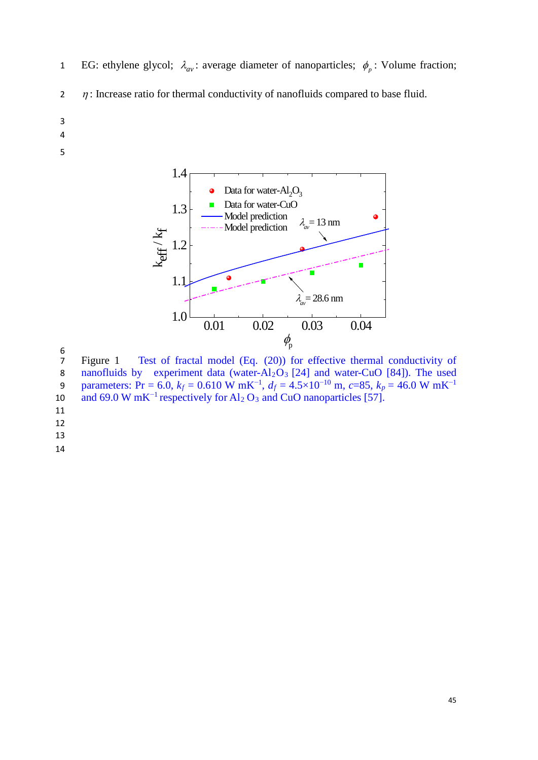- **EG:** ethylene glycol;  $\lambda_{av}$ : average diameter of nanoparticles;  $\phi_p$ : Volume fraction;
- 2  $\eta$ : Increase ratio for thermal conductivity of nanofluids compared to base fluid.
- 3
- 4
- 5



6<br>7 Figure 1 Test of fractal model (Eq. (20)) for effective thermal conductivity of 8 nanofluids by experiment data (water- $Al_2O_3$  [24] and water-CuO [84]). The used 9 parameters: Pr = 6.0,  $k_f = 0.610 \text{ W mK}^{-1}$ ,  $d_f = 4.5 \times 10^{-10} \text{ m}$ ,  $c = 85$ ,  $k_p = 46.0 \text{ W mK}^{-1}$ and 69.0 W mK<sup>-1</sup> respectively for Al<sub>2</sub> O<sub>3</sub> and CuO nanoparticles [57].

- 11
- 12

13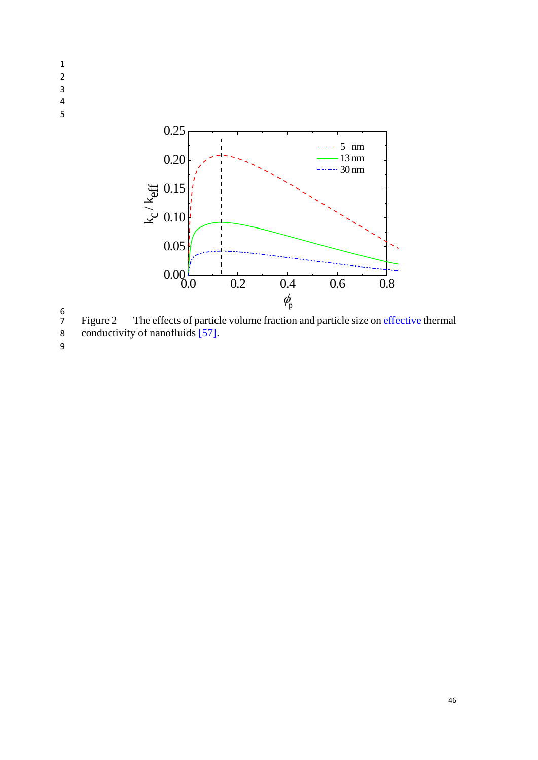

 $\begin{array}{c} 6 \\ 7 \end{array}$ 7 Figure 2 The effects of particle volume fraction and particle size on effective thermal

8 conductivity of nanofluids [57].

9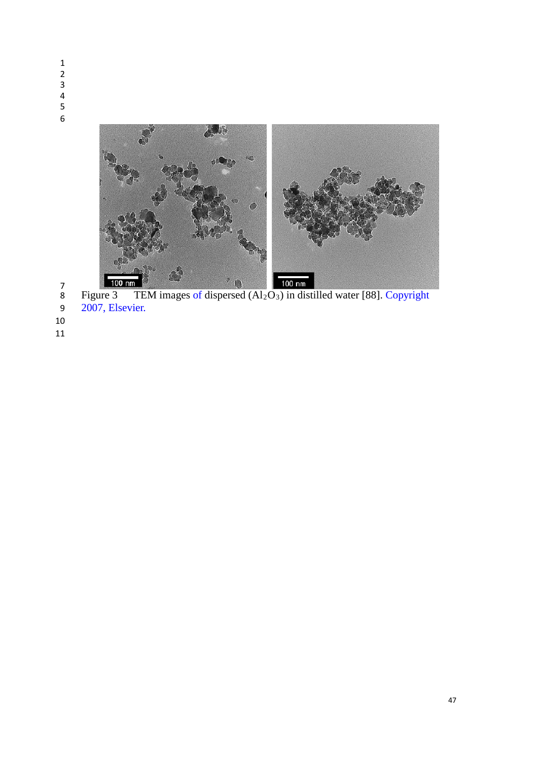- $\lambda_{\infty}$
- 8 Figure 3 TEM images of dispersed  $(Al_2O_3)$  in distilled water [88]. Copyright
- 2007, Elsevier.
-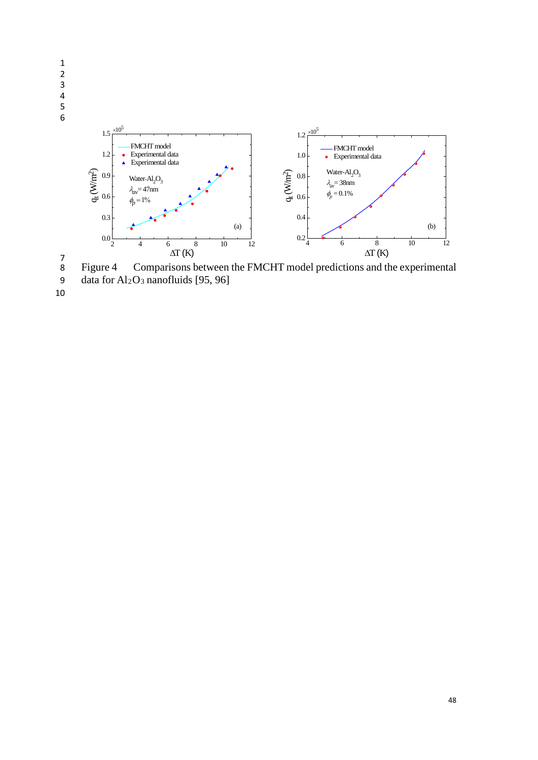



9 data for  $Al_2O_3$  nanofluids [95, 96]

10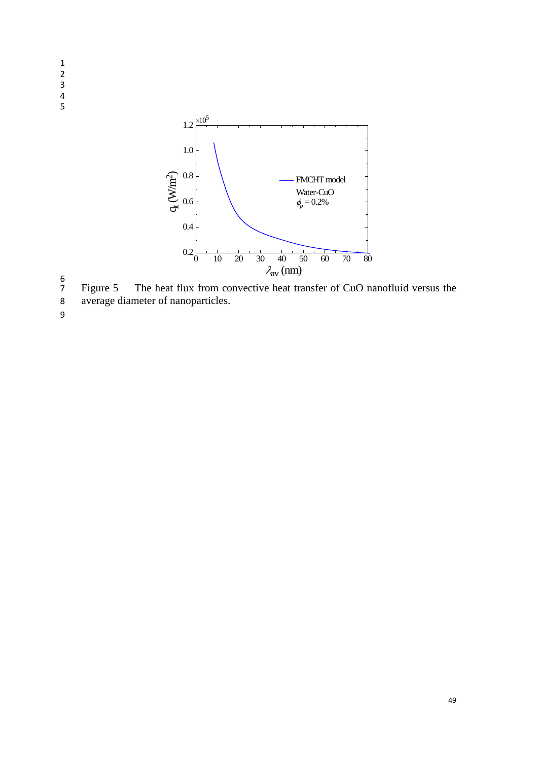

6 7 Figure 5 The heat flux from convective heat transfer of CuO nanofluid versus the average diameter of nanoparticles.

average diameter of nanoparticles.

9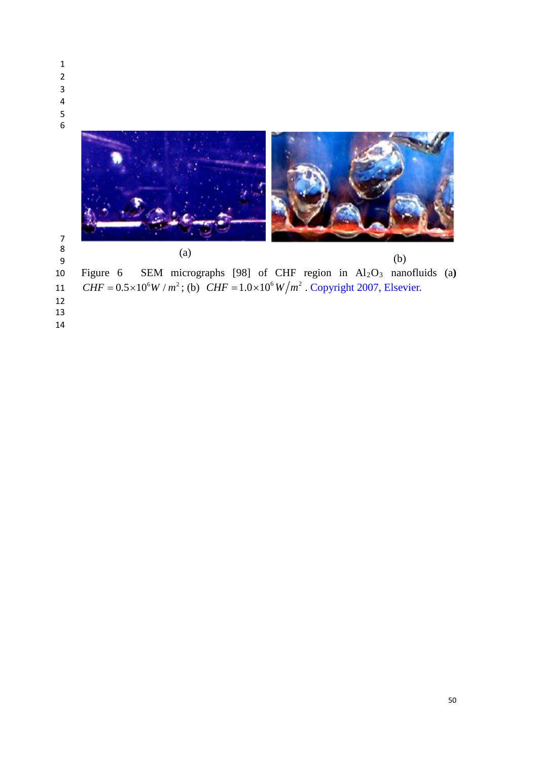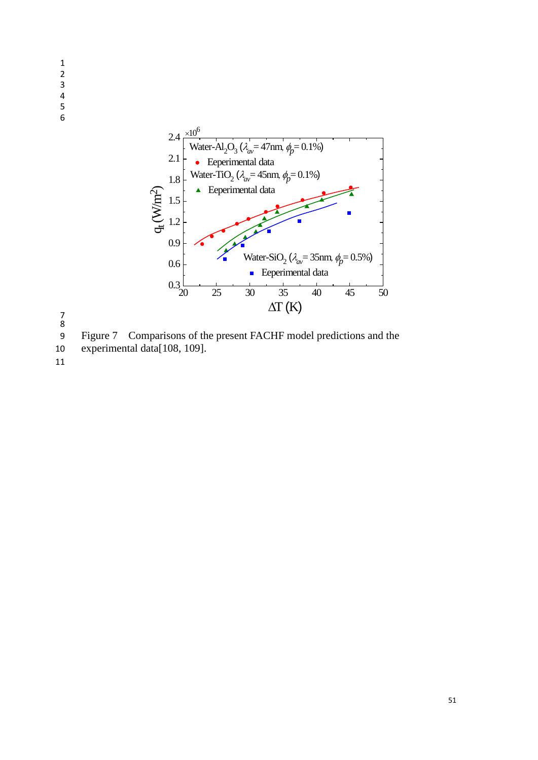



7 8

9 Figure 7 Comparisons of the present FACHF model predictions and the

10 experimental data[108, 109].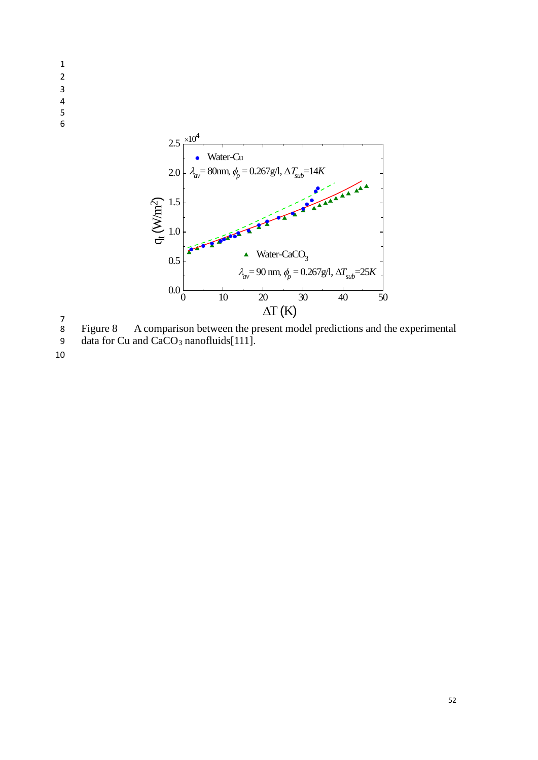- 1 2 3 4 5
- 6



7 8 Figure 8 A comparison between the present model predictions and the experimental

9 data for Cu and  $CaCO<sub>3</sub>$  nanofluids[111].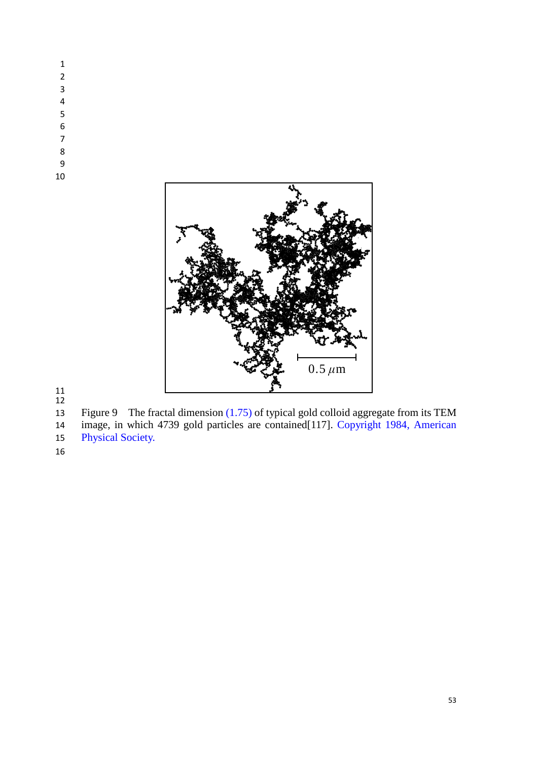- 
- 
- 
- 
- 
- 
- 
- 





Figure 9 The fractal dimension (1.75) of typical gold colloid aggregate from its TEM

 image, in which 4739 gold particles are contained[117]. Copyright 1984, American Physical Society.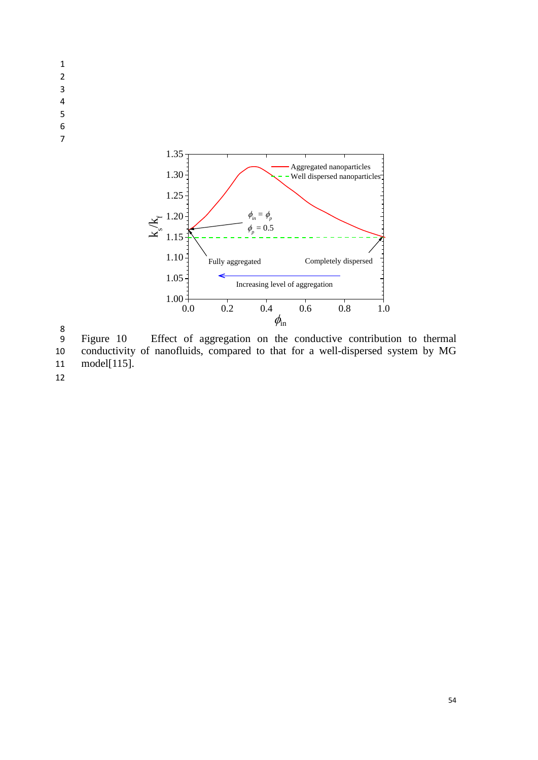- 1 2
- 3 4
- 5
- 6
- 7



8

9 Figure 10 Effect of aggregation on the conductive contribution to thermal 10 conductivity of nanofluids, compared to that for a well-dispersed system by MG 11 model[115].